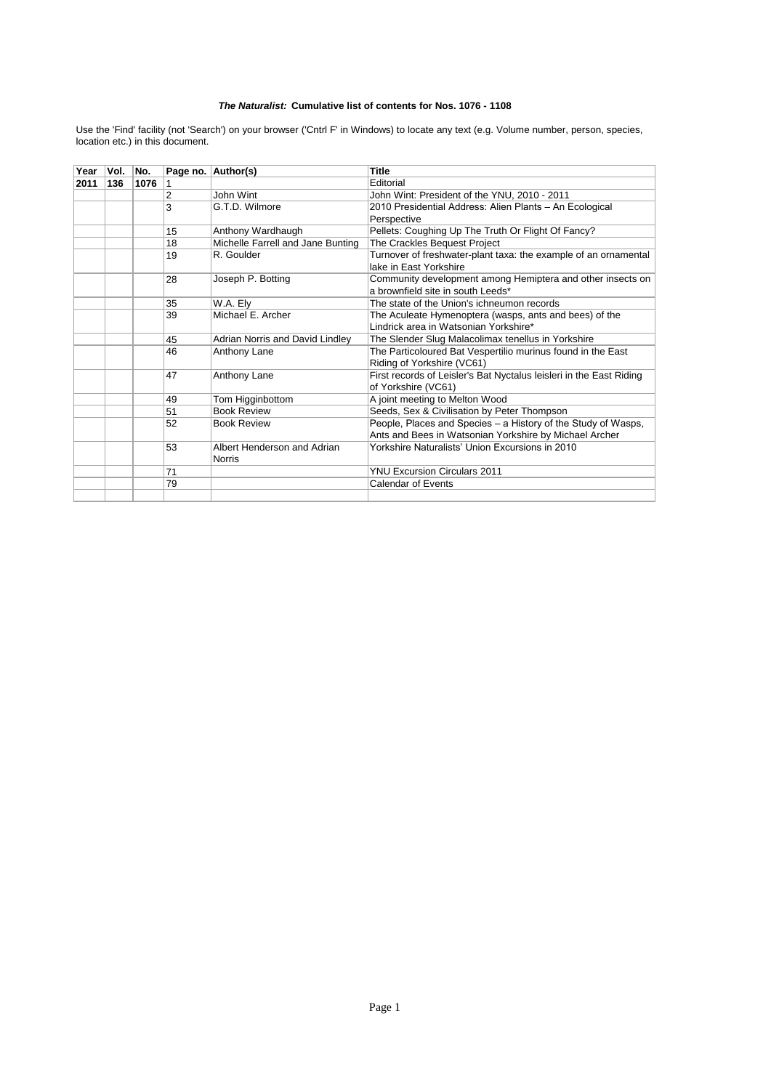| Year | Vol. | No.  |                | Page no. Author(s)                | <b>Title</b>                                                        |
|------|------|------|----------------|-----------------------------------|---------------------------------------------------------------------|
| 2011 | 136  | 1076 |                |                                   | Editorial                                                           |
|      |      |      | $\overline{2}$ | John Wint                         | John Wint: President of the YNU, 2010 - 2011                        |
|      |      |      | 3              | G.T.D. Wilmore                    | 2010 Presidential Address: Alien Plants - An Ecological             |
|      |      |      |                |                                   | Perspective                                                         |
|      |      |      | 15             | Anthony Wardhaugh                 | Pellets: Coughing Up The Truth Or Flight Of Fancy?                  |
|      |      |      | 18             | Michelle Farrell and Jane Bunting | The Crackles Bequest Project                                        |
|      |      |      | 19             | R. Goulder                        | Turnover of freshwater-plant taxa: the example of an ornamental     |
|      |      |      |                |                                   | lake in East Yorkshire                                              |
|      |      |      | 28             | Joseph P. Botting                 | Community development among Hemiptera and other insects on          |
|      |      |      |                |                                   | a brownfield site in south Leeds*                                   |
|      |      |      | 35             | W.A. Ely                          | The state of the Union's ichneumon records                          |
|      |      |      | 39             | Michael E. Archer                 | The Aculeate Hymenoptera (wasps, ants and bees) of the              |
|      |      |      |                |                                   | Lindrick area in Watsonian Yorkshire*                               |
|      |      |      | 45             | Adrian Norris and David Lindley   | The Slender Slug Malacolimax tenellus in Yorkshire                  |
|      |      |      | 46             | Anthony Lane                      | The Particoloured Bat Vespertilio murinus found in the East         |
|      |      |      |                |                                   | Riding of Yorkshire (VC61)                                          |
|      |      |      | 47             | Anthony Lane                      | First records of Leisler's Bat Nyctalus leisleri in the East Riding |
|      |      |      |                |                                   | of Yorkshire (VC61)                                                 |
|      |      |      | 49             | Tom Higginbottom                  | A joint meeting to Melton Wood                                      |
|      |      |      | 51             | <b>Book Review</b>                | Seeds, Sex & Civilisation by Peter Thompson                         |
|      |      |      | 52             | <b>Book Review</b>                | People, Places and Species - a History of the Study of Wasps,       |
|      |      |      |                |                                   | Ants and Bees in Watsonian Yorkshire by Michael Archer              |
|      |      |      | 53             | Albert Henderson and Adrian       | Yorkshire Naturalists' Union Excursions in 2010                     |
|      |      |      |                | <b>Norris</b>                     |                                                                     |
|      |      |      | 71             |                                   | <b>YNU Excursion Circulars 2011</b>                                 |
|      |      |      | 79             |                                   | Calendar of Events                                                  |
|      |      |      |                |                                   |                                                                     |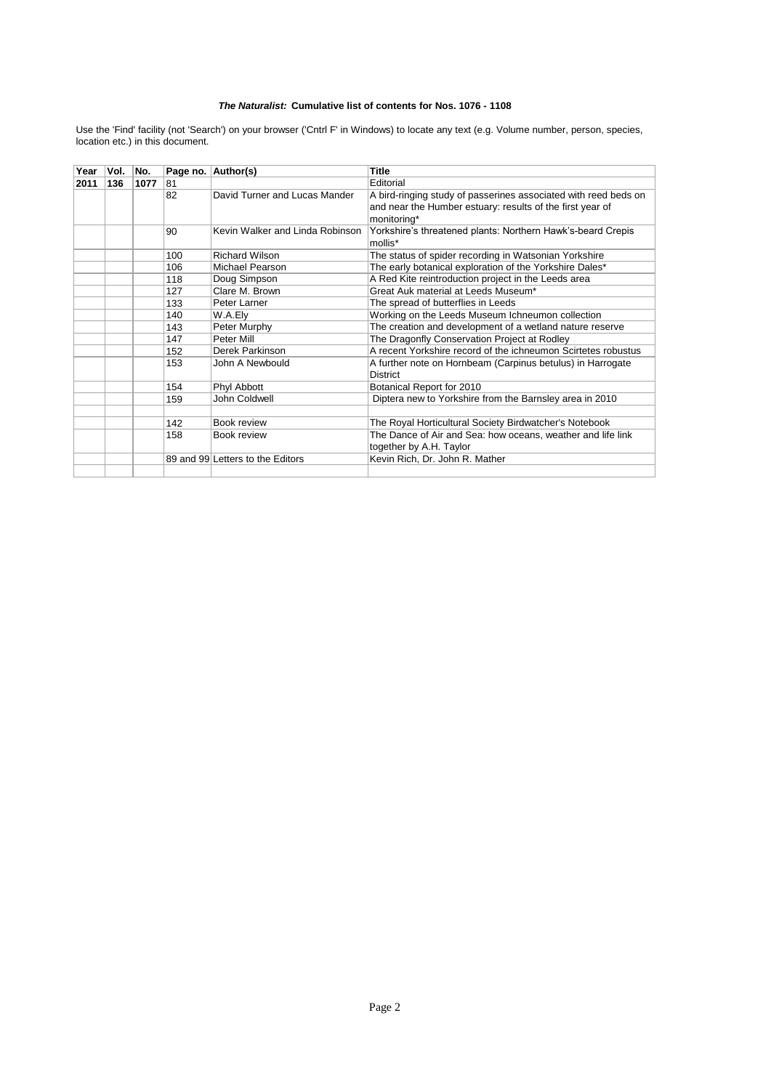| Year | Vol. | No.  |     | Page no. Author(s)               | <b>Title</b>                                                           |
|------|------|------|-----|----------------------------------|------------------------------------------------------------------------|
| 2011 | 136  | 1077 | 81  |                                  | Editorial                                                              |
|      |      |      | 82  | David Turner and Lucas Mander    | A bird-ringing study of passerines associated with reed beds on        |
|      |      |      |     |                                  | and near the Humber estuary: results of the first year of              |
|      |      |      |     |                                  | monitoring*                                                            |
|      |      |      | 90  | Kevin Walker and Linda Robinson  | Yorkshire's threatened plants: Northern Hawk's-beard Crepis<br>mollis* |
|      |      |      | 100 | <b>Richard Wilson</b>            | The status of spider recording in Watsonian Yorkshire                  |
|      |      |      | 106 | Michael Pearson                  | The early botanical exploration of the Yorkshire Dales*                |
|      |      |      | 118 | Doug Simpson                     | A Red Kite reintroduction project in the Leeds area                    |
|      |      |      | 127 | Clare M. Brown                   | Great Auk material at Leeds Museum*                                    |
|      |      |      | 133 | Peter Larner                     | The spread of butterflies in Leeds                                     |
|      |      |      | 140 | W.A.Ely                          | Working on the Leeds Museum Ichneumon collection                       |
|      |      |      | 143 | Peter Murphy                     | The creation and development of a wetland nature reserve               |
|      |      |      | 147 | Peter Mill                       | The Dragonfly Conservation Project at Rodley                           |
|      |      |      | 152 | Derek Parkinson                  | A recent Yorkshire record of the ichneumon Scirtetes robustus          |
|      |      |      | 153 | John A Newbould                  | A further note on Hornbeam (Carpinus betulus) in Harrogate             |
|      |      |      |     |                                  | <b>District</b>                                                        |
|      |      |      | 154 | Phyl Abbott                      | Botanical Report for 2010                                              |
|      |      |      | 159 | John Coldwell                    | Diptera new to Yorkshire from the Barnsley area in 2010                |
|      |      |      |     |                                  |                                                                        |
|      |      |      | 142 | Book review                      | The Royal Horticultural Society Birdwatcher's Notebook                 |
|      |      |      | 158 | Book review                      | The Dance of Air and Sea: how oceans, weather and life link            |
|      |      |      |     |                                  | together by A.H. Taylor                                                |
|      |      |      |     | 89 and 99 Letters to the Editors | Kevin Rich, Dr. John R. Mather                                         |
|      |      |      |     |                                  |                                                                        |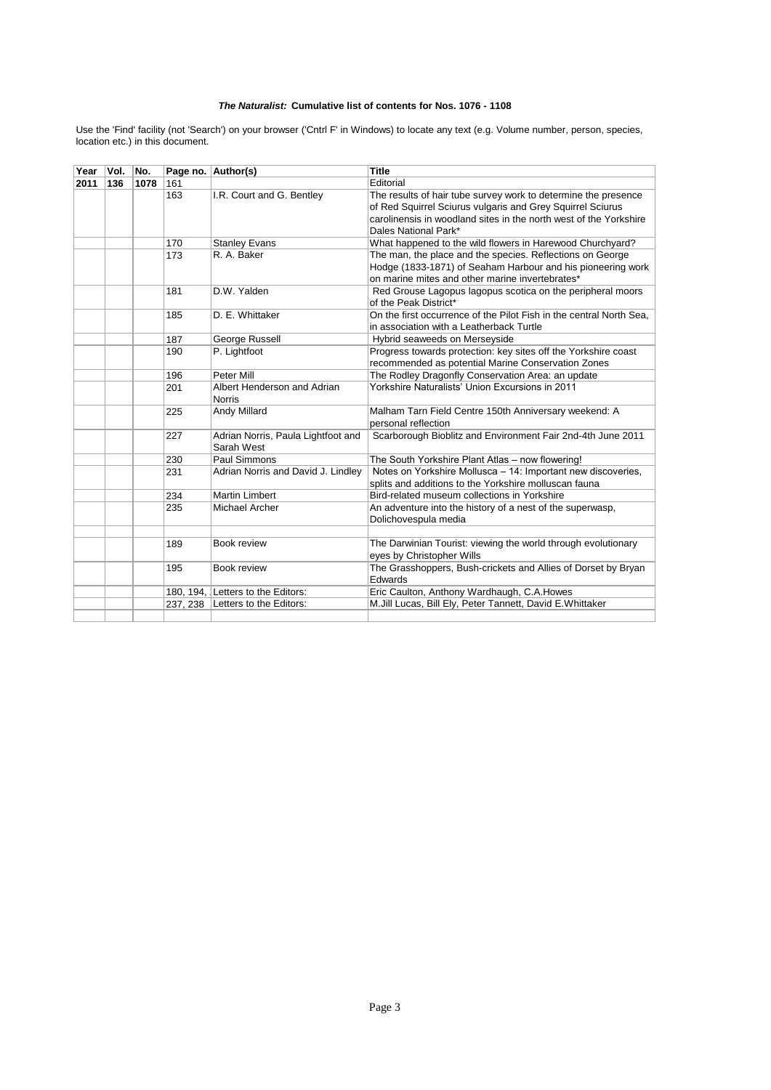| Year | Vol. | No.  |     | Page no. Author(s)                 | <b>Title</b>                                                                       |
|------|------|------|-----|------------------------------------|------------------------------------------------------------------------------------|
| 2011 | 136  | 1078 | 161 |                                    | Editorial                                                                          |
|      |      |      | 163 | I.R. Court and G. Bentley          | The results of hair tube survey work to determine the presence                     |
|      |      |      |     |                                    | of Red Squirrel Sciurus vulgaris and Grey Squirrel Sciurus                         |
|      |      |      |     |                                    | carolinensis in woodland sites in the north west of the Yorkshire                  |
|      |      |      |     |                                    | Dales National Park*                                                               |
|      |      |      | 170 | <b>Stanley Evans</b>               | What happened to the wild flowers in Harewood Churchyard?                          |
|      |      |      | 173 | R. A. Baker                        | The man, the place and the species. Reflections on George                          |
|      |      |      |     |                                    | Hodge (1833-1871) of Seaham Harbour and his pioneering work                        |
|      |      |      |     |                                    | on marine mites and other marine invertebrates*                                    |
|      |      |      | 181 | D.W. Yalden                        | Red Grouse Lagopus lagopus scotica on the peripheral moors                         |
|      |      |      |     |                                    | of the Peak District*                                                              |
|      |      |      | 185 | D. E. Whittaker                    | On the first occurrence of the Pilot Fish in the central North Sea.                |
|      |      |      |     |                                    | in association with a Leatherback Turtle                                           |
|      |      |      | 187 | George Russell                     | Hybrid seaweeds on Merseyside                                                      |
|      |      |      | 190 | P. Lightfoot                       | Progress towards protection: key sites off the Yorkshire coast                     |
|      |      |      |     |                                    | recommended as potential Marine Conservation Zones                                 |
|      |      |      | 196 | Peter Mill                         | The Rodley Dragonfly Conservation Area: an update                                  |
|      |      |      | 201 | Albert Henderson and Adrian        | Yorkshire Naturalists' Union Excursions in 2011                                    |
|      |      |      |     | <b>Norris</b>                      |                                                                                    |
|      |      |      | 225 | Andy Millard                       | Malham Tarn Field Centre 150th Anniversary weekend: A                              |
|      |      |      | 227 | Adrian Norris, Paula Lightfoot and | personal reflection<br>Scarborough Bioblitz and Environment Fair 2nd-4th June 2011 |
|      |      |      |     | Sarah West                         |                                                                                    |
|      |      |      | 230 | Paul Simmons                       | The South Yorkshire Plant Atlas - now flowering!                                   |
|      |      |      | 231 | Adrian Norris and David J. Lindley | Notes on Yorkshire Mollusca - 14: Important new discoveries,                       |
|      |      |      |     |                                    | splits and additions to the Yorkshire molluscan fauna                              |
|      |      |      | 234 | <b>Martin Limbert</b>              | Bird-related museum collections in Yorkshire                                       |
|      |      |      | 235 | Michael Archer                     | An adventure into the history of a nest of the superwasp,                          |
|      |      |      |     |                                    | Dolichovespula media                                                               |
|      |      |      |     |                                    |                                                                                    |
|      |      |      | 189 | Book review                        | The Darwinian Tourist: viewing the world through evolutionary                      |
|      |      |      |     |                                    | eyes by Christopher Wills                                                          |
|      |      |      | 195 | Book review                        | The Grasshoppers, Bush-crickets and Allies of Dorset by Bryan<br>Edwards           |
|      |      |      |     | 180, 194, Letters to the Editors:  | Eric Caulton, Anthony Wardhaugh, C.A.Howes                                         |
|      |      |      |     | 237, 238   Letters to the Editors: | M. Jill Lucas, Bill Ely, Peter Tannett, David E. Whittaker                         |
|      |      |      |     |                                    |                                                                                    |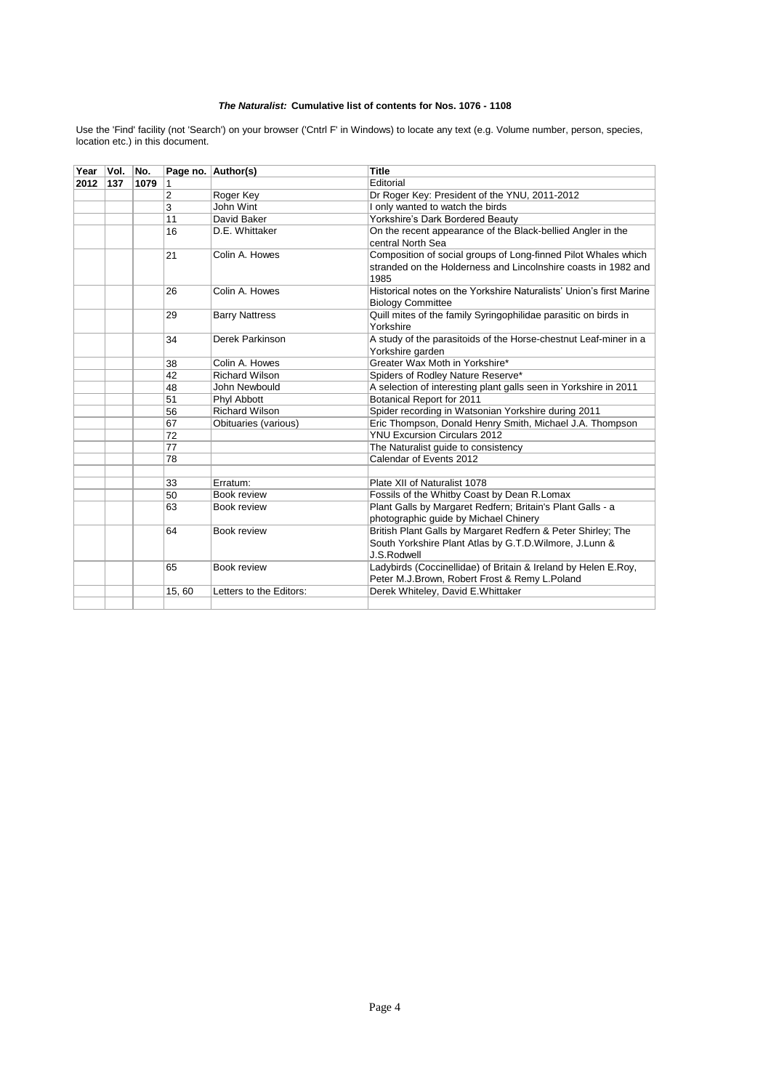| Year | Vol. | No.  |                | Page no. Author(s)      | <b>Title</b>                                                        |
|------|------|------|----------------|-------------------------|---------------------------------------------------------------------|
| 2012 | 137  | 1079 | 1              |                         | Editorial                                                           |
|      |      |      | $\overline{2}$ | Roger Key               | Dr Roger Key: President of the YNU, 2011-2012                       |
|      |      |      | 3              | John Wint               | I only wanted to watch the birds                                    |
|      |      |      | 11             | David Baker             | Yorkshire's Dark Bordered Beauty                                    |
|      |      |      | 16             | D.E. Whittaker          | On the recent appearance of the Black-bellied Angler in the         |
|      |      |      |                |                         | central North Sea                                                   |
|      |      |      | 21             | Colin A. Howes          | Composition of social groups of Long-finned Pilot Whales which      |
|      |      |      |                |                         | stranded on the Holderness and Lincolnshire coasts in 1982 and      |
|      |      |      |                |                         | 1985                                                                |
|      |      |      | 26             | Colin A. Howes          | Historical notes on the Yorkshire Naturalists' Union's first Marine |
|      |      |      |                |                         | <b>Biology Committee</b>                                            |
|      |      |      | 29             | <b>Barry Nattress</b>   | Quill mites of the family Syringophilidae parasitic on birds in     |
|      |      |      |                |                         | Yorkshire                                                           |
|      |      |      | 34             | Derek Parkinson         | A study of the parasitoids of the Horse-chestnut Leaf-miner in a    |
|      |      |      |                |                         | Yorkshire garden                                                    |
|      |      |      | 38             | Colin A. Howes          | Greater Wax Moth in Yorkshire*                                      |
|      |      |      | 42             | <b>Richard Wilson</b>   | Spiders of Rodley Nature Reserve*                                   |
|      |      |      | 48             | John Newbould           | A selection of interesting plant galls seen in Yorkshire in 2011    |
|      |      |      | 51             | Phyl Abbott             | Botanical Report for 2011                                           |
|      |      |      | 56             | <b>Richard Wilson</b>   | Spider recording in Watsonian Yorkshire during 2011                 |
|      |      |      | 67             | Obituaries (various)    | Eric Thompson, Donald Henry Smith, Michael J.A. Thompson            |
|      |      |      | 72             |                         | <b>YNU Excursion Circulars 2012</b>                                 |
|      |      |      | 77             |                         | The Naturalist guide to consistency                                 |
|      |      |      | 78             |                         | Calendar of Events 2012                                             |
|      |      |      |                |                         |                                                                     |
|      |      |      | 33             | Erratum:                | Plate XII of Naturalist 1078                                        |
|      |      |      | 50             | Book review             | Fossils of the Whitby Coast by Dean R.Lomax                         |
|      |      |      | 63             | Book review             | Plant Galls by Margaret Redfern; Britain's Plant Galls - a          |
|      |      |      |                |                         | photographic guide by Michael Chinery                               |
|      |      |      | 64             | Book review             | British Plant Galls by Margaret Redfern & Peter Shirley; The        |
|      |      |      |                |                         | South Yorkshire Plant Atlas by G.T.D. Wilmore, J. Lunn &            |
|      |      |      |                |                         | J.S.Rodwell                                                         |
|      |      |      | 65             | Book review             | Ladybirds (Coccinellidae) of Britain & Ireland by Helen E.Roy,      |
|      |      |      |                |                         | Peter M.J.Brown, Robert Frost & Remy L.Poland                       |
|      |      |      | 15,60          | Letters to the Editors: | Derek Whiteley, David E. Whittaker                                  |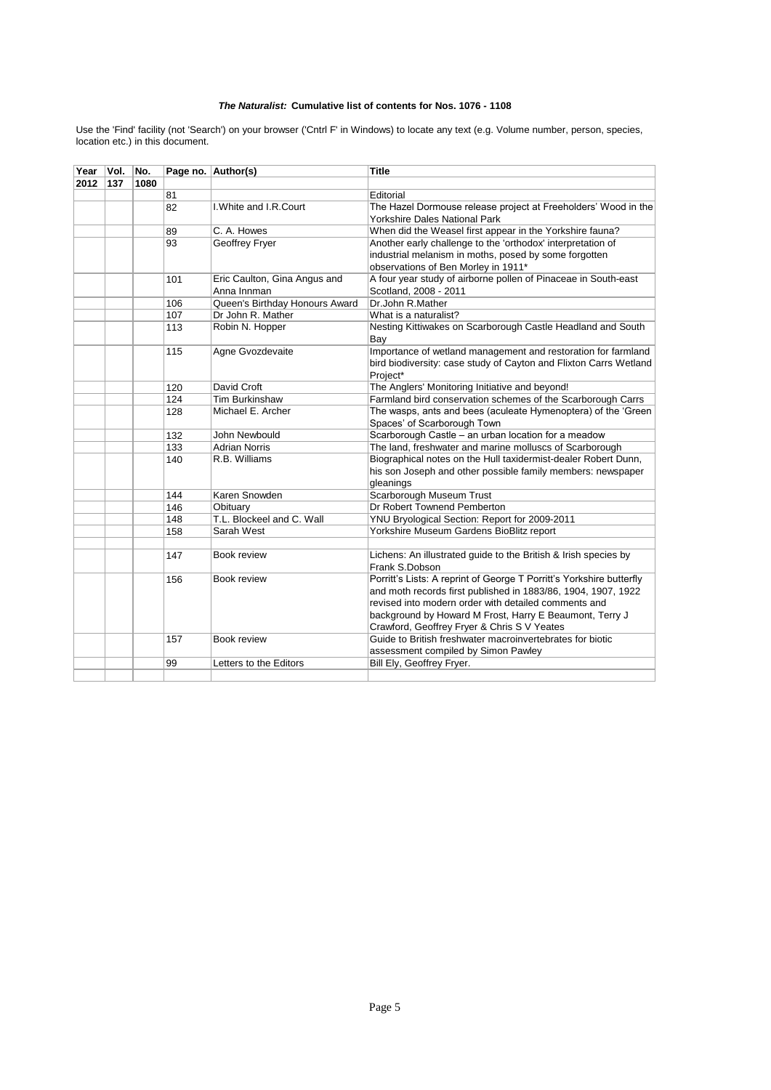| Year | Vol. | No.  |     | Page no. Author(s)             | <b>Title</b>                                                                      |
|------|------|------|-----|--------------------------------|-----------------------------------------------------------------------------------|
| 2012 | 137  | 1080 |     |                                |                                                                                   |
|      |      |      | 81  |                                | Editorial                                                                         |
|      |      |      | 82  | I. White and I.R. Court        | The Hazel Dormouse release project at Freeholders' Wood in the                    |
|      |      |      |     |                                | <b>Yorkshire Dales National Park</b>                                              |
|      |      |      | 89  | C. A. Howes                    | When did the Weasel first appear in the Yorkshire fauna?                          |
|      |      |      | 93  | <b>Geoffrey Fryer</b>          | Another early challenge to the 'orthodox' interpretation of                       |
|      |      |      |     |                                | industrial melanism in moths, posed by some forgotten                             |
|      |      |      |     |                                | observations of Ben Morley in 1911*                                               |
|      |      |      | 101 | Eric Caulton, Gina Angus and   | A four year study of airborne pollen of Pinaceae in South-east                    |
|      |      |      |     | Anna Innman                    | Scotland, 2008 - 2011                                                             |
|      |      |      | 106 | Queen's Birthday Honours Award | Dr.John R.Mather                                                                  |
|      |      |      | 107 | Dr John R. Mather              | What is a naturalist?                                                             |
|      |      |      | 113 | Robin N. Hopper                | Nesting Kittiwakes on Scarborough Castle Headland and South<br>Bay                |
|      |      |      | 115 | Agne Gvozdevaite               | Importance of wetland management and restoration for farmland                     |
|      |      |      |     |                                | bird biodiversity: case study of Cayton and Flixton Carrs Wetland                 |
|      |      |      |     |                                | Project*                                                                          |
|      |      |      | 120 | David Croft                    | The Anglers' Monitoring Initiative and beyond!                                    |
|      |      |      | 124 | <b>Tim Burkinshaw</b>          | Farmland bird conservation schemes of the Scarborough Carrs                       |
|      |      |      | 128 | Michael E. Archer              | The wasps, ants and bees (aculeate Hymenoptera) of the 'Green                     |
|      |      |      |     |                                | Spaces' of Scarborough Town                                                       |
|      |      |      | 132 | John Newbould                  | Scarborough Castle - an urban location for a meadow                               |
|      |      |      | 133 | <b>Adrian Norris</b>           | The land, freshwater and marine molluscs of Scarborough                           |
|      |      |      | 140 | R.B. Williams                  | Biographical notes on the Hull taxidermist-dealer Robert Dunn,                    |
|      |      |      |     |                                | his son Joseph and other possible family members: newspaper                       |
|      |      |      |     |                                | gleanings                                                                         |
|      |      |      | 144 | Karen Snowden                  | Scarborough Museum Trust                                                          |
|      |      |      | 146 | Obituary                       | Dr Robert Townend Pemberton                                                       |
|      |      |      | 148 | T.L. Blockeel and C. Wall      | YNU Bryological Section: Report for 2009-2011                                     |
|      |      |      | 158 | Sarah West                     | Yorkshire Museum Gardens BioBlitz report                                          |
|      |      |      |     |                                |                                                                                   |
|      |      |      | 147 | Book review                    | Lichens: An illustrated guide to the British & Irish species by<br>Frank S.Dobson |
|      |      |      | 156 | Book review                    | Porritt's Lists: A reprint of George T Porritt's Yorkshire butterfly              |
|      |      |      |     |                                | and moth records first published in 1883/86, 1904, 1907, 1922                     |
|      |      |      |     |                                | revised into modern order with detailed comments and                              |
|      |      |      |     |                                | background by Howard M Frost, Harry E Beaumont, Terry J                           |
|      |      |      |     |                                | Crawford, Geoffrey Fryer & Chris S V Yeates                                       |
|      |      |      | 157 | Book review                    | Guide to British freshwater macroinvertebrates for biotic                         |
|      |      |      |     |                                | assessment compiled by Simon Pawley                                               |
|      |      |      | 99  | Letters to the Editors         | Bill Ely, Geoffrey Fryer.                                                         |
|      |      |      |     |                                |                                                                                   |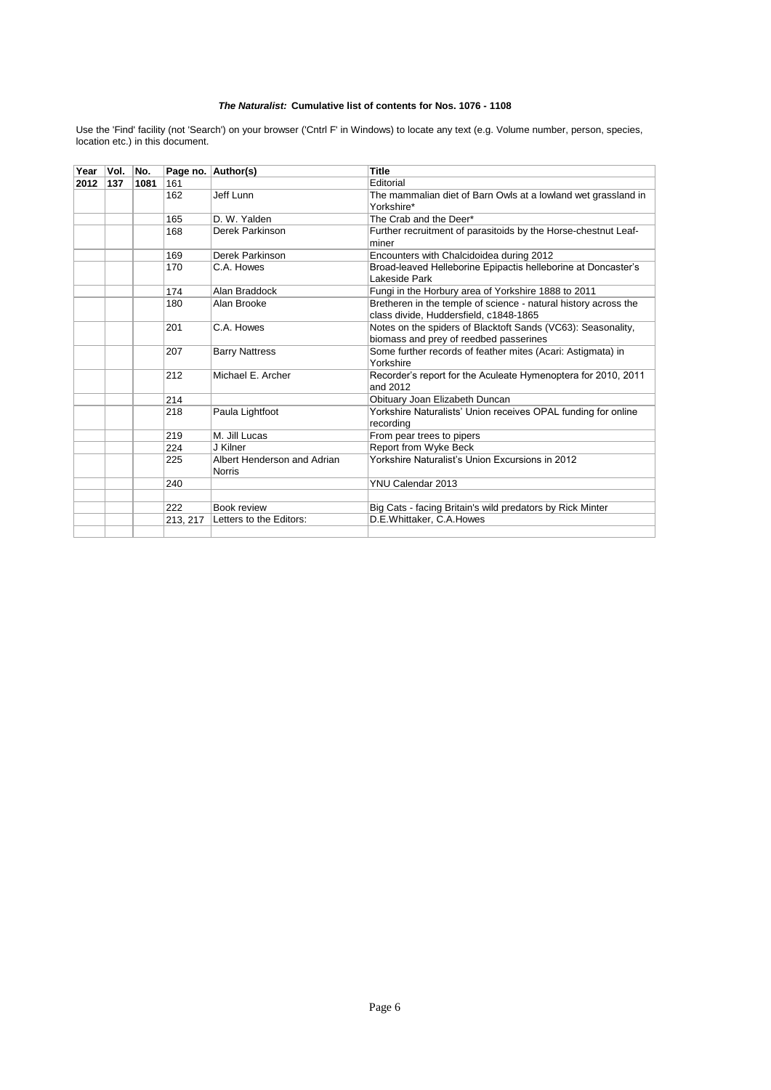| Year | Vol. | No.  |          | Page no. Author(s)                           | <b>Title</b>                                                                                              |
|------|------|------|----------|----------------------------------------------|-----------------------------------------------------------------------------------------------------------|
| 2012 | 137  | 1081 | 161      |                                              | Editorial                                                                                                 |
|      |      |      | 162      | Jeff Lunn                                    | The mammalian diet of Barn Owls at a lowland wet grassland in<br>Yorkshire*                               |
|      |      |      | 165      | D. W. Yalden                                 | The Crab and the Deer*                                                                                    |
|      |      |      | 168      | Derek Parkinson                              | Further recruitment of parasitoids by the Horse-chestnut Leaf-<br>miner                                   |
|      |      |      | 169      | Derek Parkinson                              | Encounters with Chalcidoidea during 2012                                                                  |
|      |      |      | 170      | C.A. Howes                                   | Broad-leaved Helleborine Epipactis helleborine at Doncaster's<br>Lakeside Park                            |
|      |      |      | 174      | Alan Braddock                                | Fungi in the Horbury area of Yorkshire 1888 to 2011                                                       |
|      |      |      | 180      | Alan Brooke                                  | Bretheren in the temple of science - natural history across the<br>class divide, Huddersfield, c1848-1865 |
|      |      |      | 201      | C.A. Howes                                   | Notes on the spiders of Blacktoft Sands (VC63): Seasonality,<br>biomass and prey of reedbed passerines    |
|      |      |      | 207      | <b>Barry Nattress</b>                        | Some further records of feather mites (Acari: Astigmata) in<br>Yorkshire                                  |
|      |      |      | 212      | Michael E. Archer                            | Recorder's report for the Aculeate Hymenoptera for 2010, 2011<br>and 2012                                 |
|      |      |      | 214      |                                              | Obituary Joan Elizabeth Duncan                                                                            |
|      |      |      | 218      | Paula Lightfoot                              | Yorkshire Naturalists' Union receives OPAL funding for online<br>recording                                |
|      |      |      | 219      | M. Jill Lucas                                | From pear trees to pipers                                                                                 |
|      |      |      | 224      | J Kilner                                     | Report from Wyke Beck                                                                                     |
|      |      |      | 225      | Albert Henderson and Adrian<br><b>Norris</b> | Yorkshire Naturalist's Union Excursions in 2012                                                           |
|      |      |      | 240      |                                              | YNU Calendar 2013                                                                                         |
|      |      |      |          |                                              |                                                                                                           |
|      |      |      | 222      | Book review                                  | Big Cats - facing Britain's wild predators by Rick Minter                                                 |
|      |      |      | 213, 217 | Letters to the Editors:                      | D.E.Whittaker, C.A.Howes                                                                                  |
|      |      |      |          |                                              |                                                                                                           |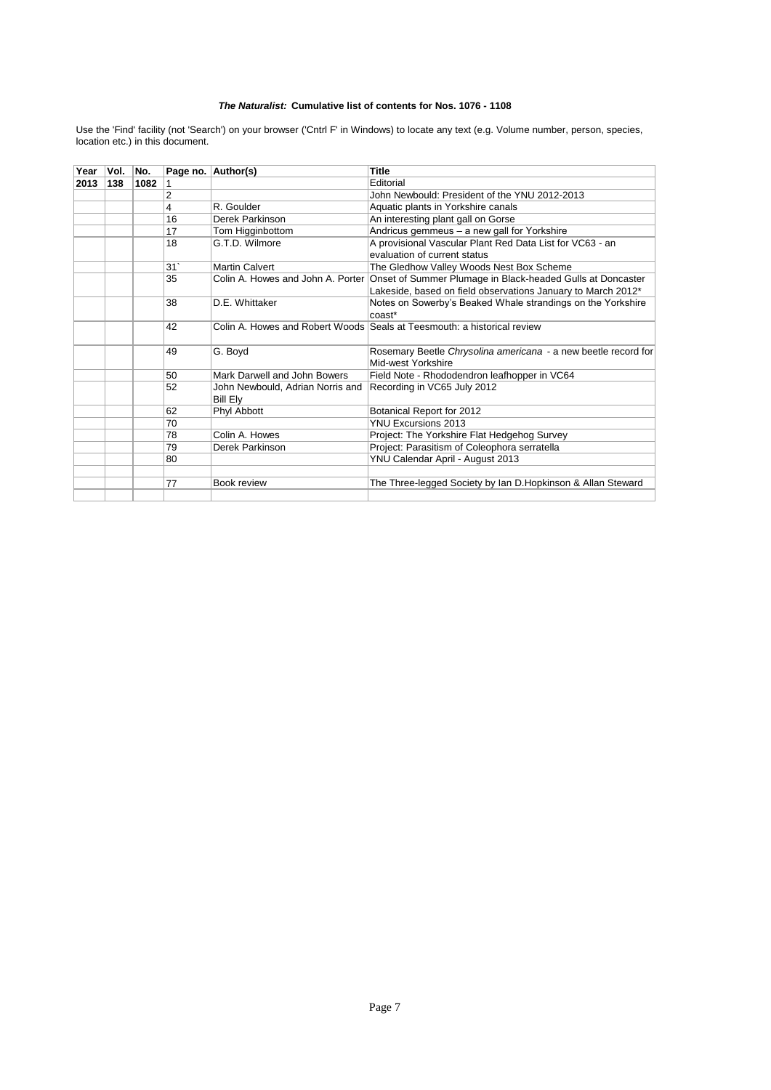| Year | Vol. | No.  |    | Page no. Author(s)                                  | <b>Title</b>                                                                                 |
|------|------|------|----|-----------------------------------------------------|----------------------------------------------------------------------------------------------|
| 2013 | 138  | 1082 |    |                                                     | Editorial                                                                                    |
|      |      |      | 2  |                                                     | John Newbould: President of the YNU 2012-2013                                                |
|      |      |      | 4  | R. Goulder                                          | Aquatic plants in Yorkshire canals                                                           |
|      |      |      | 16 | Derek Parkinson                                     | An interesting plant gall on Gorse                                                           |
|      |      |      | 17 | Tom Higginbottom                                    | Andricus gemmeus - a new gall for Yorkshire                                                  |
|      |      |      | 18 | G.T.D. Wilmore                                      | A provisional Vascular Plant Red Data List for VC63 - an                                     |
|      |      |      |    |                                                     | evaluation of current status                                                                 |
|      |      |      | 31 | <b>Martin Calvert</b>                               | The Gledhow Valley Woods Nest Box Scheme                                                     |
|      |      |      | 35 |                                                     | Colin A. Howes and John A. Porter Onset of Summer Plumage in Black-headed Gulls at Doncaster |
|      |      |      |    |                                                     | Lakeside, based on field observations January to March 2012*                                 |
|      |      |      | 38 | D.E. Whittaker                                      | Notes on Sowerby's Beaked Whale strandings on the Yorkshire<br>coast*                        |
|      |      |      | 42 |                                                     | Colin A. Howes and Robert Woods Seals at Teesmouth: a historical review                      |
|      |      |      | 49 | G. Boyd                                             | Rosemary Beetle Chrysolina americana - a new beetle record for<br>Mid-west Yorkshire         |
|      |      |      | 50 | Mark Darwell and John Bowers                        | Field Note - Rhododendron leafhopper in VC64                                                 |
|      |      |      | 52 | John Newbould, Adrian Norris and<br><b>Bill Ely</b> | Recording in VC65 July 2012                                                                  |
|      |      |      | 62 | Phyl Abbott                                         | Botanical Report for 2012                                                                    |
|      |      |      | 70 |                                                     | <b>YNU Excursions 2013</b>                                                                   |
|      |      |      | 78 | Colin A. Howes                                      | Project: The Yorkshire Flat Hedgehog Survey                                                  |
|      |      |      | 79 | Derek Parkinson                                     | Project: Parasitism of Coleophora serratella                                                 |
|      |      |      | 80 |                                                     | YNU Calendar April - August 2013                                                             |
|      |      |      |    |                                                     |                                                                                              |
|      |      |      | 77 | Book review                                         | The Three-legged Society by Ian D.Hopkinson & Allan Steward                                  |
|      |      |      |    |                                                     |                                                                                              |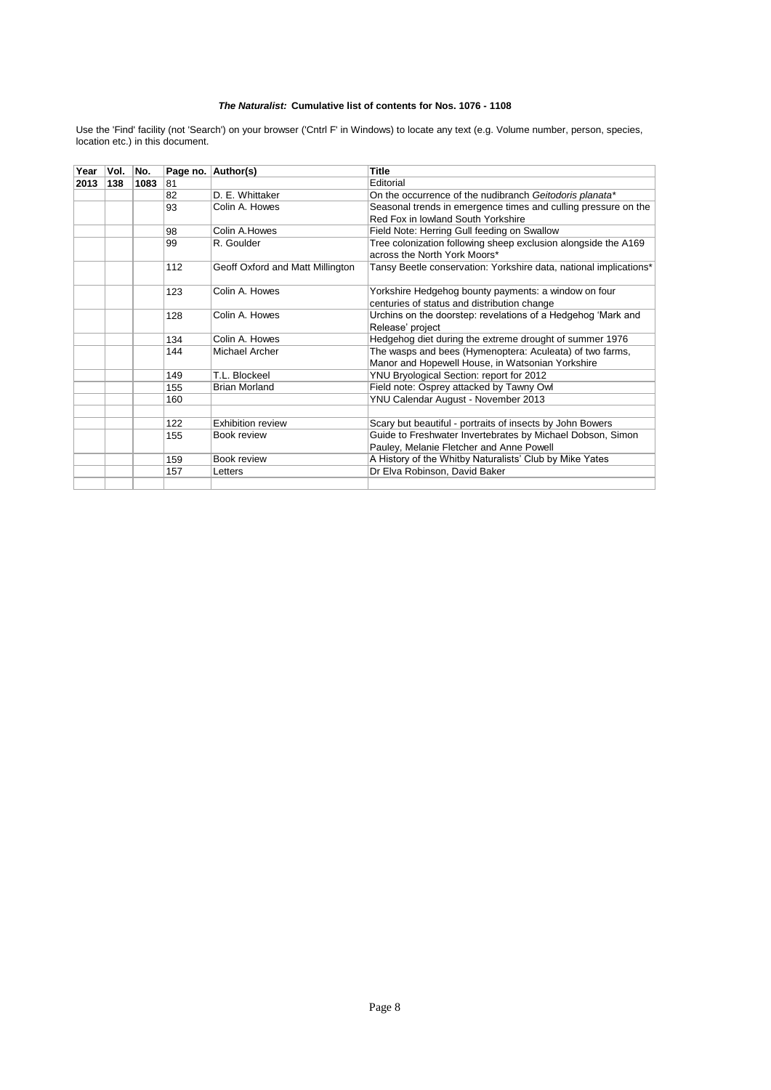| Year | Vol. | No.  |     | Page no. Author(s)               | <b>Title</b>                                                                                   |
|------|------|------|-----|----------------------------------|------------------------------------------------------------------------------------------------|
| 2013 | 138  | 1083 | 81  |                                  | Editorial                                                                                      |
|      |      |      | 82  | D. E. Whittaker                  | On the occurrence of the nudibranch Geitodoris planata*                                        |
|      |      |      | 93  | Colin A. Howes                   | Seasonal trends in emergence times and culling pressure on the                                 |
|      |      |      |     |                                  | Red Fox in lowland South Yorkshire                                                             |
|      |      |      | 98  | Colin A.Howes                    | Field Note: Herring Gull feeding on Swallow                                                    |
|      |      |      | 99  | R. Goulder                       | Tree colonization following sheep exclusion alongside the A169<br>across the North York Moors* |
|      |      |      | 112 | Geoff Oxford and Matt Millington | Tansy Beetle conservation: Yorkshire data, national implications*                              |
|      |      |      |     |                                  |                                                                                                |
|      |      |      | 123 | Colin A. Howes                   | Yorkshire Hedgehog bounty payments: a window on four                                           |
|      |      |      |     |                                  | centuries of status and distribution change                                                    |
|      |      |      | 128 | Colin A. Howes                   | Urchins on the doorstep: revelations of a Hedgehog 'Mark and                                   |
|      |      |      |     |                                  | Release' project                                                                               |
|      |      |      | 134 | Colin A. Howes                   | Hedgehog diet during the extreme drought of summer 1976                                        |
|      |      |      | 144 | Michael Archer                   | The wasps and bees (Hymenoptera: Aculeata) of two farms,                                       |
|      |      |      |     |                                  | Manor and Hopewell House, in Watsonian Yorkshire                                               |
|      |      |      | 149 | T.L. Blockeel                    | YNU Bryological Section: report for 2012                                                       |
|      |      |      | 155 | <b>Brian Morland</b>             | Field note: Osprey attacked by Tawny Owl                                                       |
|      |      |      | 160 |                                  | YNU Calendar August - November 2013                                                            |
|      |      |      |     |                                  |                                                                                                |
|      |      |      | 122 | <b>Exhibition review</b>         | Scary but beautiful - portraits of insects by John Bowers                                      |
|      |      |      | 155 | Book review                      | Guide to Freshwater Invertebrates by Michael Dobson, Simon                                     |
|      |      |      |     |                                  | Pauley, Melanie Fletcher and Anne Powell                                                       |
|      |      |      | 159 | Book review                      | A History of the Whitby Naturalists' Club by Mike Yates                                        |
|      |      |      | 157 | Letters                          | Dr Elva Robinson, David Baker                                                                  |
|      |      |      |     |                                  |                                                                                                |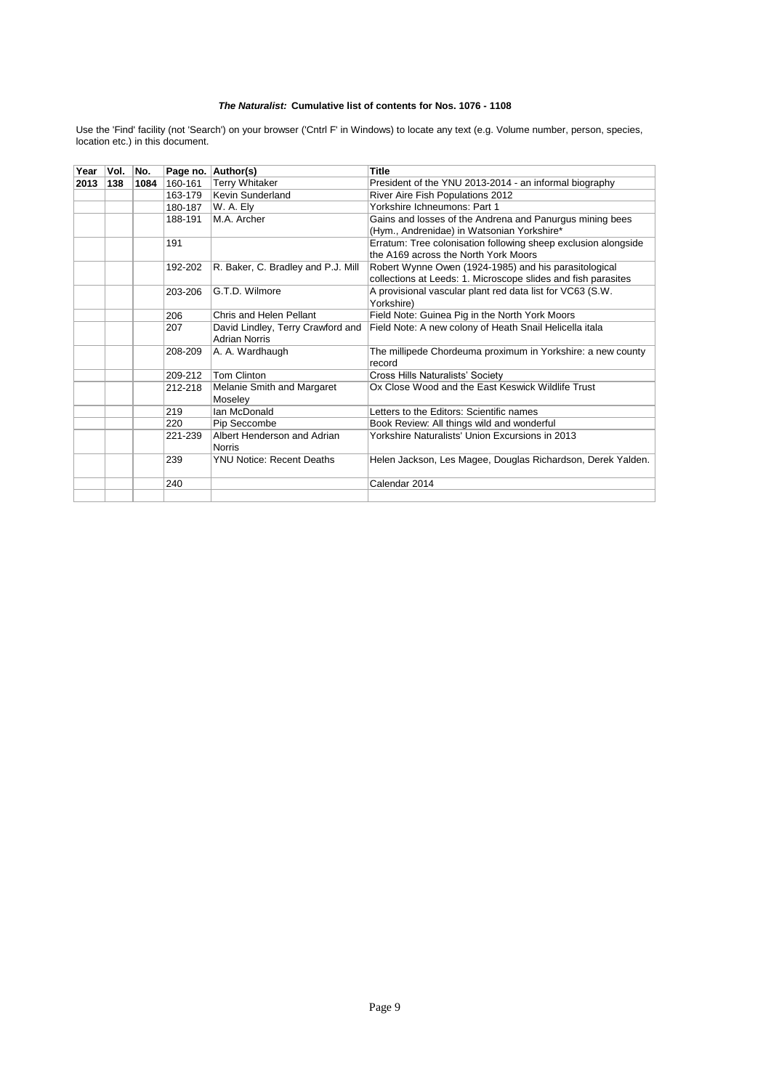| Year | Vol. | No.  |         | Page no. Author(s)                                        | <b>Title</b>                                                                                                           |
|------|------|------|---------|-----------------------------------------------------------|------------------------------------------------------------------------------------------------------------------------|
| 2013 | 138  | 1084 | 160-161 | <b>Terry Whitaker</b>                                     | President of the YNU 2013-2014 - an informal biography                                                                 |
|      |      |      | 163-179 | Kevin Sunderland                                          | River Aire Fish Populations 2012                                                                                       |
|      |      |      | 180-187 | W. A. Ely                                                 | Yorkshire Ichneumons: Part 1                                                                                           |
|      |      |      | 188-191 | M.A. Archer                                               | Gains and losses of the Andrena and Panurgus mining bees<br>(Hym., Andrenidae) in Watsonian Yorkshire*                 |
|      |      |      | 191     |                                                           | Erratum: Tree colonisation following sheep exclusion alongside<br>the A169 across the North York Moors                 |
|      |      |      | 192-202 | R. Baker, C. Bradley and P.J. Mill                        | Robert Wynne Owen (1924-1985) and his parasitological<br>collections at Leeds: 1. Microscope slides and fish parasites |
|      |      |      | 203-206 | G.T.D. Wilmore                                            | A provisional vascular plant red data list for VC63 (S.W.<br>Yorkshire)                                                |
|      |      |      | 206     | Chris and Helen Pellant                                   | Field Note: Guinea Pig in the North York Moors                                                                         |
|      |      |      | 207     | David Lindley, Terry Crawford and<br><b>Adrian Norris</b> | Field Note: A new colony of Heath Snail Helicella itala                                                                |
|      |      |      | 208-209 | A. A. Wardhaugh                                           | The millipede Chordeuma proximum in Yorkshire: a new county<br>record                                                  |
|      |      |      | 209-212 | <b>Tom Clinton</b>                                        | Cross Hills Naturalists' Society                                                                                       |
|      |      |      | 212-218 | Melanie Smith and Margaret<br>Moseley                     | Ox Close Wood and the East Keswick Wildlife Trust                                                                      |
|      |      |      | 219     | Ian McDonald                                              | Letters to the Editors: Scientific names                                                                               |
|      |      |      | 220     | Pip Seccombe                                              | Book Review: All things wild and wonderful                                                                             |
|      |      |      | 221-239 | Albert Henderson and Adrian<br>Norris                     | Yorkshire Naturalists' Union Excursions in 2013                                                                        |
|      |      |      | 239     | <b>YNU Notice: Recent Deaths</b>                          | Helen Jackson, Les Magee, Douglas Richardson, Derek Yalden.                                                            |
|      |      |      | 240     |                                                           | Calendar 2014                                                                                                          |
|      |      |      |         |                                                           |                                                                                                                        |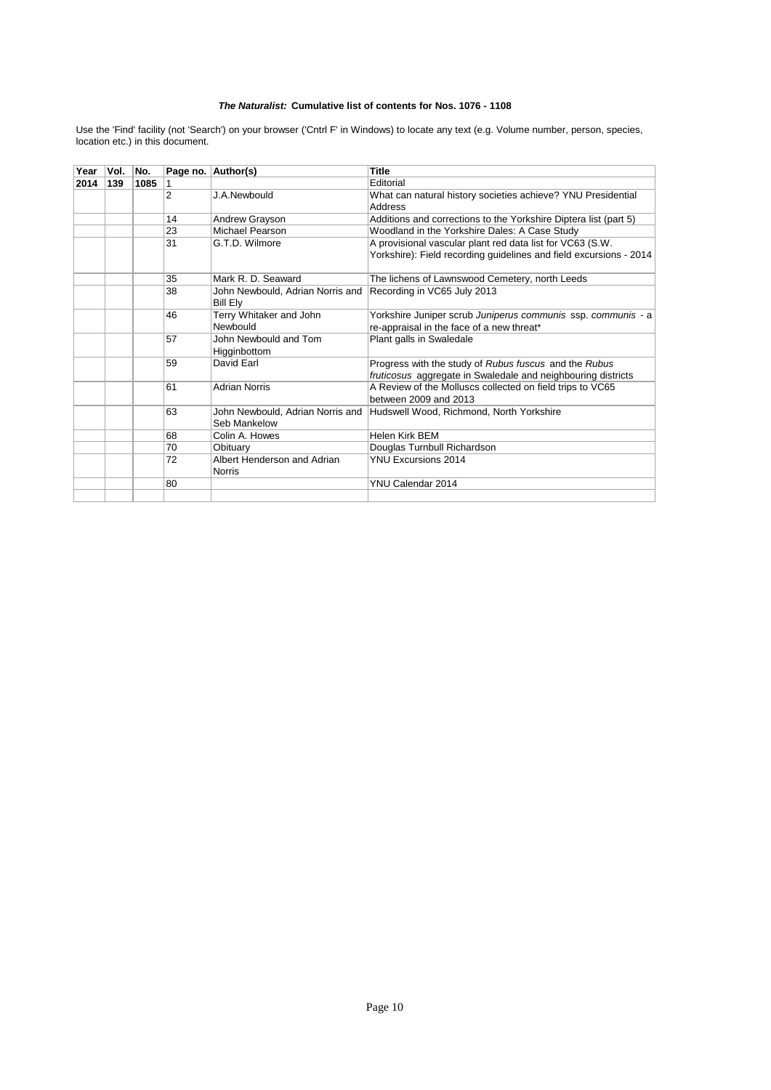| Year | Vol. | No.  |                | Page no. Author(s)                                  | <b>Title</b>                                                       |
|------|------|------|----------------|-----------------------------------------------------|--------------------------------------------------------------------|
| 2014 | 139  | 1085 |                |                                                     | Editorial                                                          |
|      |      |      | $\overline{2}$ | J.A.Newbould                                        | What can natural history societies achieve? YNU Presidential       |
|      |      |      |                |                                                     | Address                                                            |
|      |      |      | 14             | Andrew Grayson                                      | Additions and corrections to the Yorkshire Diptera list (part 5)   |
|      |      |      | 23             | Michael Pearson                                     | Woodland in the Yorkshire Dales: A Case Study                      |
|      |      |      | 31             | G.T.D. Wilmore                                      | A provisional vascular plant red data list for VC63 (S.W.          |
|      |      |      |                |                                                     | Yorkshire): Field recording guidelines and field excursions - 2014 |
|      |      |      | 35             | Mark R. D. Seaward                                  | The lichens of Lawnswood Cemetery, north Leeds                     |
|      |      |      | 38             | John Newbould, Adrian Norris and<br><b>Bill Ely</b> | Recording in VC65 July 2013                                        |
|      |      |      | 46             | Terry Whitaker and John                             | Yorkshire Juniper scrub Juniperus communis ssp. communis - a       |
|      |      |      |                | Newbould                                            | re-appraisal in the face of a new threat*                          |
|      |      |      | 57             | John Newbould and Tom                               | Plant galls in Swaledale                                           |
|      |      |      |                | Higginbottom                                        |                                                                    |
|      |      |      | 59             | David Farl                                          | Progress with the study of Rubus fuscus and the Rubus              |
|      |      |      |                |                                                     | fruticosus aggregate in Swaledale and neighbouring districts       |
|      |      |      | 61             | <b>Adrian Norris</b>                                | A Review of the Molluscs collected on field trips to VC65          |
|      |      |      |                |                                                     | between 2009 and 2013                                              |
|      |      |      | 63             | John Newbould, Adrian Norris and                    | Hudswell Wood, Richmond, North Yorkshire                           |
|      |      |      |                | Seb Mankelow                                        |                                                                    |
|      |      |      | 68             | Colin A. Howes                                      | Helen Kirk BFM                                                     |
|      |      |      | 70             | Obituary                                            | Douglas Turnbull Richardson                                        |
|      |      |      | 72             | Albert Henderson and Adrian                         | <b>YNU Excursions 2014</b>                                         |
|      |      |      |                | <b>Norris</b>                                       |                                                                    |
|      |      |      | 80             |                                                     | YNU Calendar 2014                                                  |
|      |      |      |                |                                                     |                                                                    |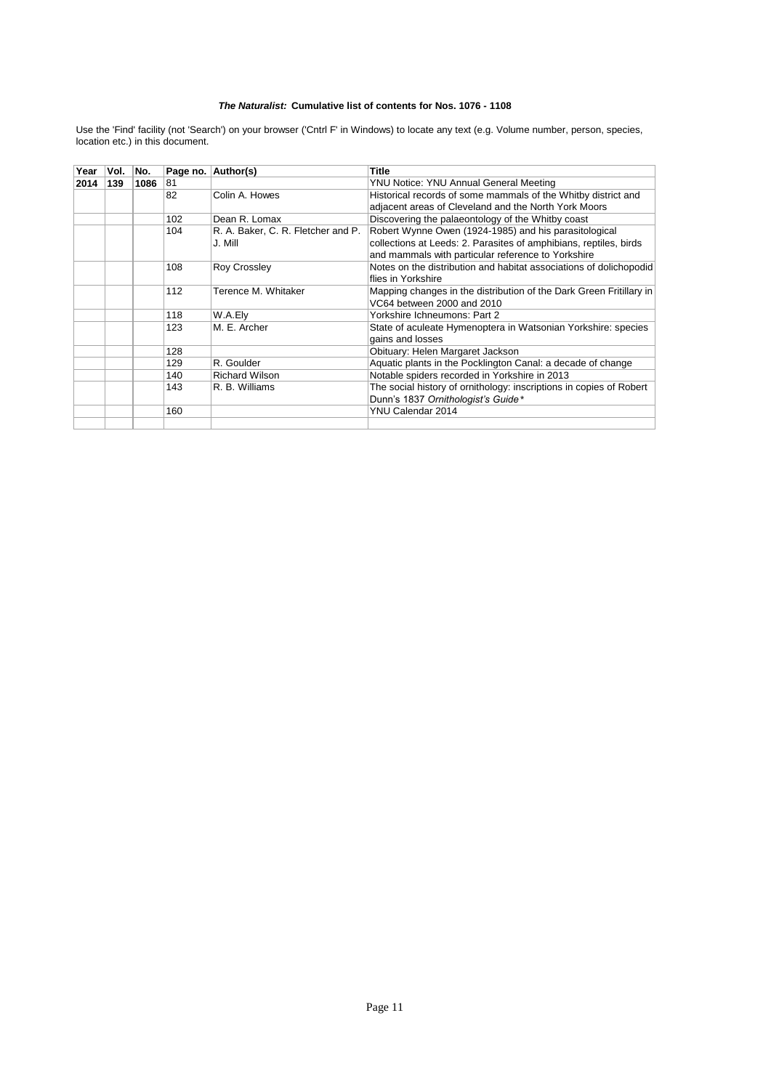| Year | Vol. | No.  |     | Page no. Author(s)                 | <b>Title</b>                                                        |
|------|------|------|-----|------------------------------------|---------------------------------------------------------------------|
| 2014 | 139  | 1086 | 81  |                                    | YNU Notice: YNU Annual General Meeting                              |
|      |      |      | 82  | Colin A. Howes                     | Historical records of some mammals of the Whitby district and       |
|      |      |      |     |                                    | adjacent areas of Cleveland and the North York Moors                |
|      |      |      | 102 | Dean R. Lomax                      | Discovering the palaeontology of the Whitby coast                   |
|      |      |      | 104 | R. A. Baker, C. R. Fletcher and P. | Robert Wynne Owen (1924-1985) and his parasitological               |
|      |      |      |     | J. Mill                            | collections at Leeds: 2. Parasites of amphibians, reptiles, birds   |
|      |      |      |     |                                    | and mammals with particular reference to Yorkshire                  |
|      |      |      | 108 | <b>Roy Crossley</b>                | Notes on the distribution and habitat associations of dolichopodid  |
|      |      |      |     |                                    | flies in Yorkshire                                                  |
|      |      |      | 112 | Terence M. Whitaker                | Mapping changes in the distribution of the Dark Green Fritillary in |
|      |      |      |     |                                    | VC64 between 2000 and 2010                                          |
|      |      |      | 118 | W.A.Ely                            | Yorkshire Ichneumons: Part 2                                        |
|      |      |      | 123 | M. E. Archer                       | State of aculeate Hymenoptera in Watsonian Yorkshire: species       |
|      |      |      |     |                                    | gains and losses                                                    |
|      |      |      | 128 |                                    | Obituary: Helen Margaret Jackson                                    |
|      |      |      | 129 | R. Goulder                         | Aquatic plants in the Pocklington Canal: a decade of change         |
|      |      |      | 140 | <b>Richard Wilson</b>              | Notable spiders recorded in Yorkshire in 2013                       |
|      |      |      | 143 | R. B. Williams                     | The social history of ornithology: inscriptions in copies of Robert |
|      |      |      |     |                                    | Dunn's 1837 Ornithologist's Guide*                                  |
|      |      |      | 160 |                                    | YNU Calendar 2014                                                   |
|      |      |      |     |                                    |                                                                     |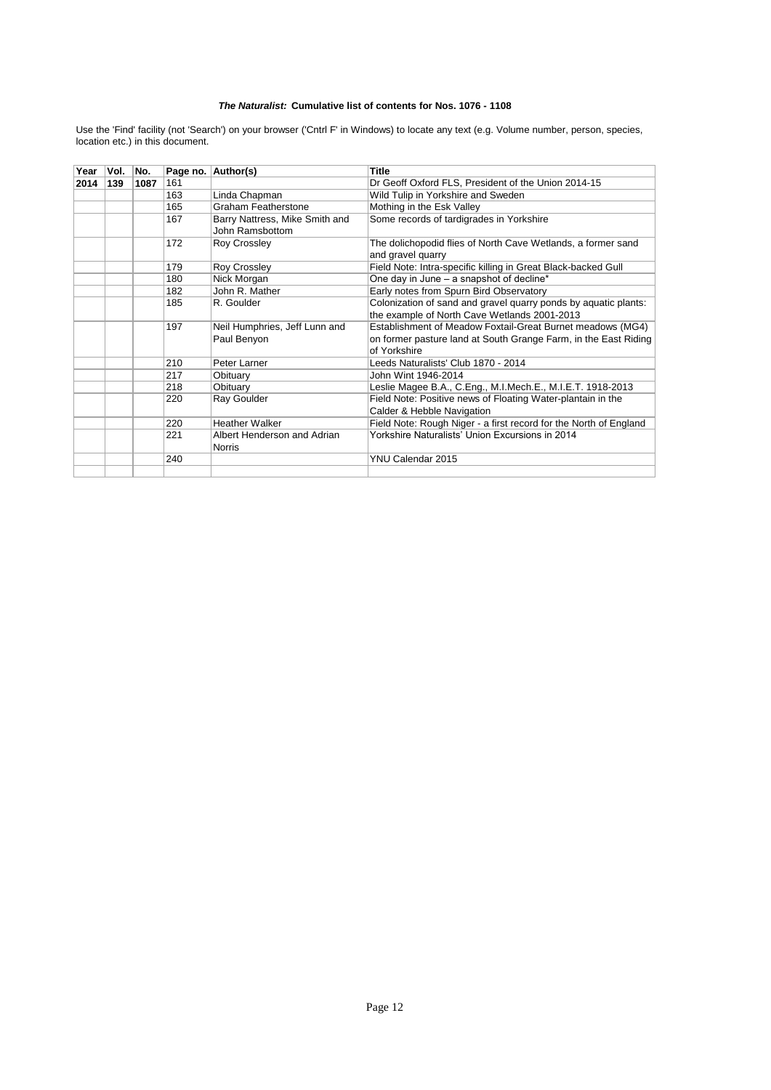| Year | Vol. | No.  |     | Page no. Author(s)             | Title                                                             |
|------|------|------|-----|--------------------------------|-------------------------------------------------------------------|
| 2014 | 139  | 1087 | 161 |                                | Dr Geoff Oxford FLS, President of the Union 2014-15               |
|      |      |      | 163 | Linda Chapman                  | Wild Tulip in Yorkshire and Sweden                                |
|      |      |      | 165 | Graham Featherstone            | Mothing in the Esk Valley                                         |
|      |      |      | 167 | Barry Nattress, Mike Smith and | Some records of tardigrades in Yorkshire                          |
|      |      |      |     | John Ramsbottom                |                                                                   |
|      |      |      | 172 | Roy Crossley                   | The dolichopodid flies of North Cave Wetlands, a former sand      |
|      |      |      |     |                                | and gravel quarry                                                 |
|      |      |      | 179 | Roy Crossley                   | Field Note: Intra-specific killing in Great Black-backed Gull     |
|      |      |      | 180 | Nick Morgan                    | One day in June - a snapshot of decline*                          |
|      |      |      | 182 | John R. Mather                 | Early notes from Spurn Bird Observatory                           |
|      |      |      | 185 | R. Goulder                     | Colonization of sand and gravel quarry ponds by aquatic plants:   |
|      |      |      |     |                                | the example of North Cave Wetlands 2001-2013                      |
|      |      |      | 197 | Neil Humphries, Jeff Lunn and  | Establishment of Meadow Foxtail-Great Burnet meadows (MG4)        |
|      |      |      |     | Paul Benyon                    | on former pasture land at South Grange Farm, in the East Riding   |
|      |      |      |     |                                | of Yorkshire                                                      |
|      |      |      | 210 | Peter Larner                   | Leeds Naturalists' Club 1870 - 2014                               |
|      |      |      | 217 | Obituary                       | John Wint 1946-2014                                               |
|      |      |      | 218 | Obituary                       | Leslie Magee B.A., C.Eng., M.I.Mech.E., M.I.E.T. 1918-2013        |
|      |      |      | 220 | Ray Goulder                    | Field Note: Positive news of Floating Water-plantain in the       |
|      |      |      |     |                                | Calder & Hebble Navigation                                        |
|      |      |      | 220 | <b>Heather Walker</b>          | Field Note: Rough Niger - a first record for the North of England |
|      |      |      | 221 | Albert Henderson and Adrian    | Yorkshire Naturalists' Union Excursions in 2014                   |
|      |      |      |     | <b>Norris</b>                  |                                                                   |
|      |      |      | 240 |                                | YNU Calendar 2015                                                 |
|      |      |      |     |                                |                                                                   |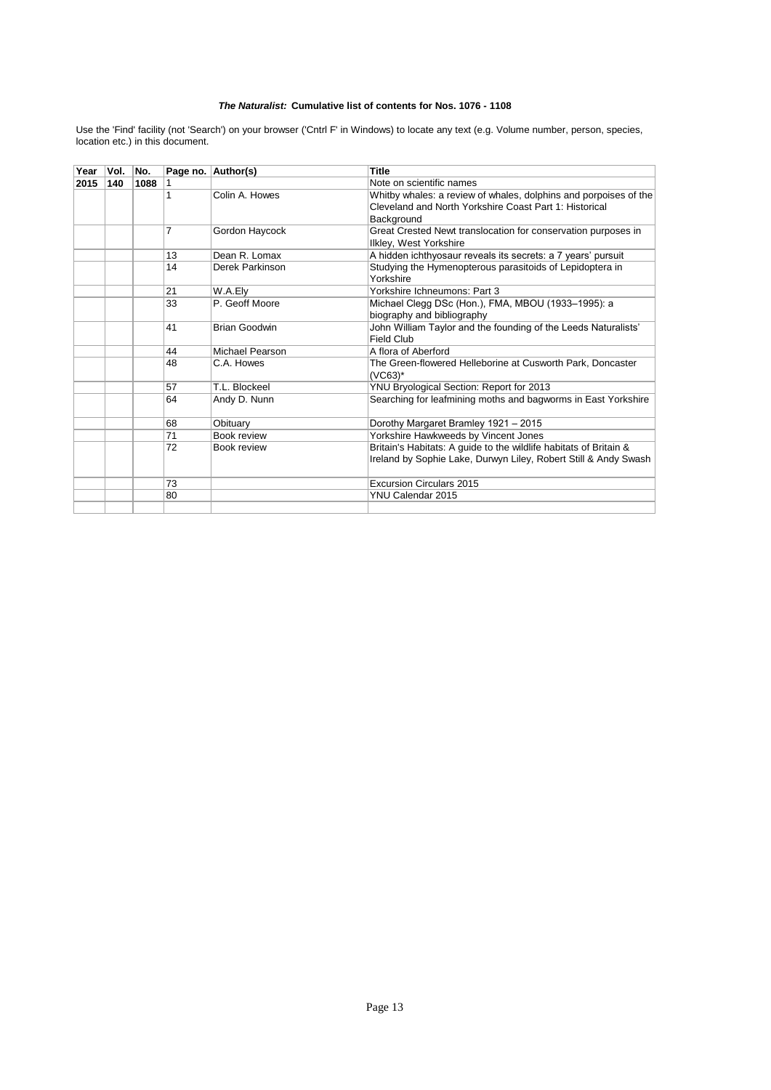| Year | Vol. | No.  |    | Page no. Author(s)   | <b>Title</b>                                                      |
|------|------|------|----|----------------------|-------------------------------------------------------------------|
| 2015 | 140  | 1088 |    |                      | Note on scientific names                                          |
|      |      |      |    | Colin A. Howes       | Whitby whales: a review of whales, dolphins and porpoises of the  |
|      |      |      |    |                      | Cleveland and North Yorkshire Coast Part 1: Historical            |
|      |      |      |    |                      | Background                                                        |
|      |      |      | 7  | Gordon Haycock       | Great Crested Newt translocation for conservation purposes in     |
|      |      |      |    |                      | Ilkley, West Yorkshire                                            |
|      |      |      | 13 | Dean R. Lomax        | A hidden ichthyosaur reveals its secrets: a 7 years' pursuit      |
|      |      |      | 14 | Derek Parkinson      | Studying the Hymenopterous parasitoids of Lepidoptera in          |
|      |      |      |    |                      | Yorkshire                                                         |
|      |      |      | 21 | W.A.Ely              | Yorkshire Ichneumons: Part 3                                      |
|      |      |      | 33 | P. Geoff Moore       | Michael Clegg DSc (Hon.), FMA, MBOU (1933-1995): a                |
|      |      |      |    |                      | biography and bibliography                                        |
|      |      |      | 41 | <b>Brian Goodwin</b> | John William Taylor and the founding of the Leeds Naturalists'    |
|      |      |      |    |                      | Field Club                                                        |
|      |      |      | 44 | Michael Pearson      | A flora of Aberford                                               |
|      |      |      | 48 | C.A. Howes           | The Green-flowered Helleborine at Cusworth Park, Doncaster        |
|      |      |      | 57 | T.L. Blockeel        | $(VCG3)*$                                                         |
|      |      |      |    |                      | YNU Bryological Section: Report for 2013                          |
|      |      |      | 64 | Andy D. Nunn         | Searching for leafmining moths and bagworms in East Yorkshire     |
|      |      |      | 68 | Obituary             | Dorothy Margaret Bramley 1921 - 2015                              |
|      |      |      | 71 | Book review          | Yorkshire Hawkweeds by Vincent Jones                              |
|      |      |      | 72 | Book review          | Britain's Habitats: A guide to the wildlife habitats of Britain & |
|      |      |      |    |                      | Ireland by Sophie Lake, Durwyn Liley, Robert Still & Andy Swash   |
|      |      |      | 73 |                      | <b>Excursion Circulars 2015</b>                                   |
|      |      |      | 80 |                      | YNU Calendar 2015                                                 |
|      |      |      |    |                      |                                                                   |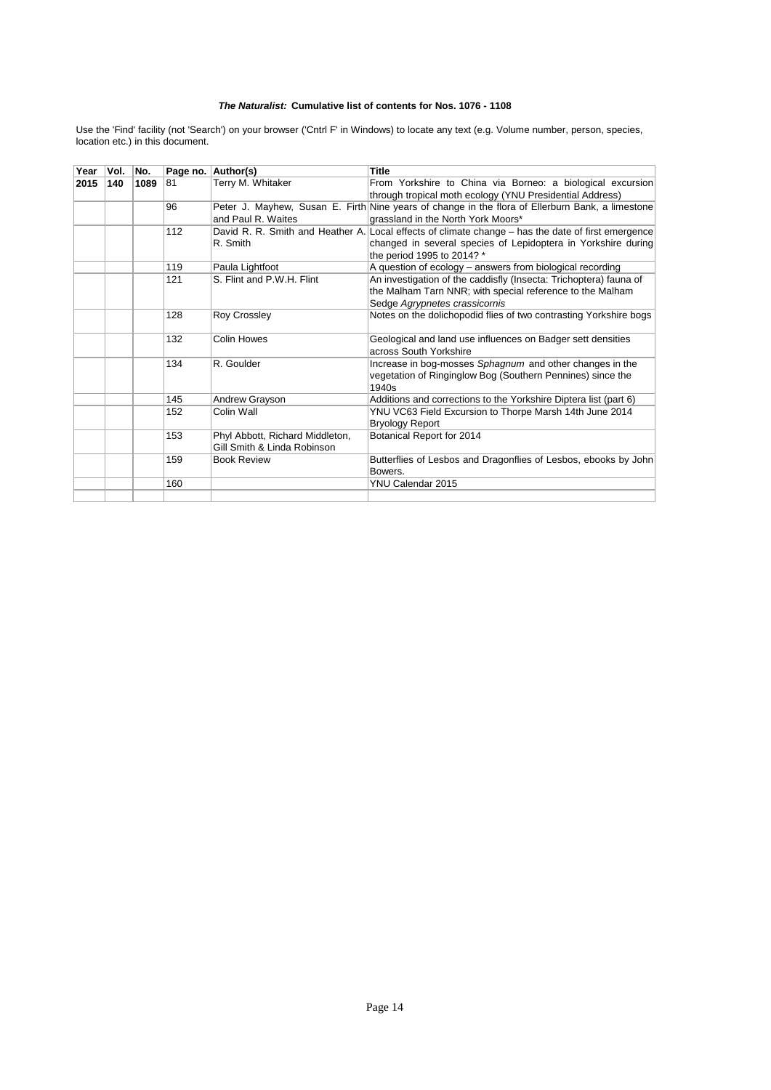| Year | Vol. | No.  |     | Page no. Author(s)              | Title                                                                                              |
|------|------|------|-----|---------------------------------|----------------------------------------------------------------------------------------------------|
| 2015 | 140  | 1089 | 81  | Terry M. Whitaker               | From Yorkshire to China via Borneo: a biological excursion                                         |
|      |      |      |     |                                 | through tropical moth ecology (YNU Presidential Address)                                           |
|      |      |      | 96  |                                 | Peter J. Mayhew, Susan E. Firth Nine years of change in the flora of Ellerburn Bank, a limestone   |
|      |      |      |     | and Paul R. Waites              | grassland in the North York Moors*                                                                 |
|      |      |      | 112 |                                 | David R. R. Smith and Heather A. Local effects of climate change – has the date of first emergence |
|      |      |      |     | R. Smith                        | changed in several species of Lepidoptera in Yorkshire during                                      |
|      |      |      |     |                                 | the period 1995 to 2014? *                                                                         |
|      |      |      | 119 | Paula Lightfoot                 | A question of ecology – answers from biological recording                                          |
|      |      |      | 121 | S. Flint and P.W.H. Flint       | An investigation of the caddisfly (Insecta: Trichoptera) fauna of                                  |
|      |      |      |     |                                 | the Malham Tarn NNR; with special reference to the Malham                                          |
|      |      |      |     |                                 | Sedge Agrypnetes crassicornis                                                                      |
|      |      |      | 128 | <b>Roy Crossley</b>             | Notes on the dolichopodid flies of two contrasting Yorkshire bogs                                  |
|      |      |      | 132 | Colin Howes                     | Geological and land use influences on Badger sett densities                                        |
|      |      |      |     |                                 | across South Yorkshire                                                                             |
|      |      |      | 134 | R. Goulder                      | Increase in bog-mosses Sphagnum and other changes in the                                           |
|      |      |      |     |                                 | vegetation of Ringinglow Bog (Southern Pennines) since the                                         |
|      |      |      |     |                                 | 1940s                                                                                              |
|      |      |      | 145 | Andrew Grayson                  | Additions and corrections to the Yorkshire Diptera list (part 6)                                   |
|      |      |      | 152 | Colin Wall                      | YNU VC63 Field Excursion to Thorpe Marsh 14th June 2014                                            |
|      |      |      |     |                                 | <b>Bryology Report</b>                                                                             |
|      |      |      | 153 | Phyl Abbott, Richard Middleton, | Botanical Report for 2014                                                                          |
|      |      |      |     | Gill Smith & Linda Robinson     |                                                                                                    |
|      |      |      | 159 | <b>Book Review</b>              | Butterflies of Lesbos and Dragonflies of Lesbos, ebooks by John                                    |
|      |      |      |     |                                 | Bowers.                                                                                            |
|      |      |      | 160 |                                 | YNU Calendar 2015                                                                                  |
|      |      |      |     |                                 |                                                                                                    |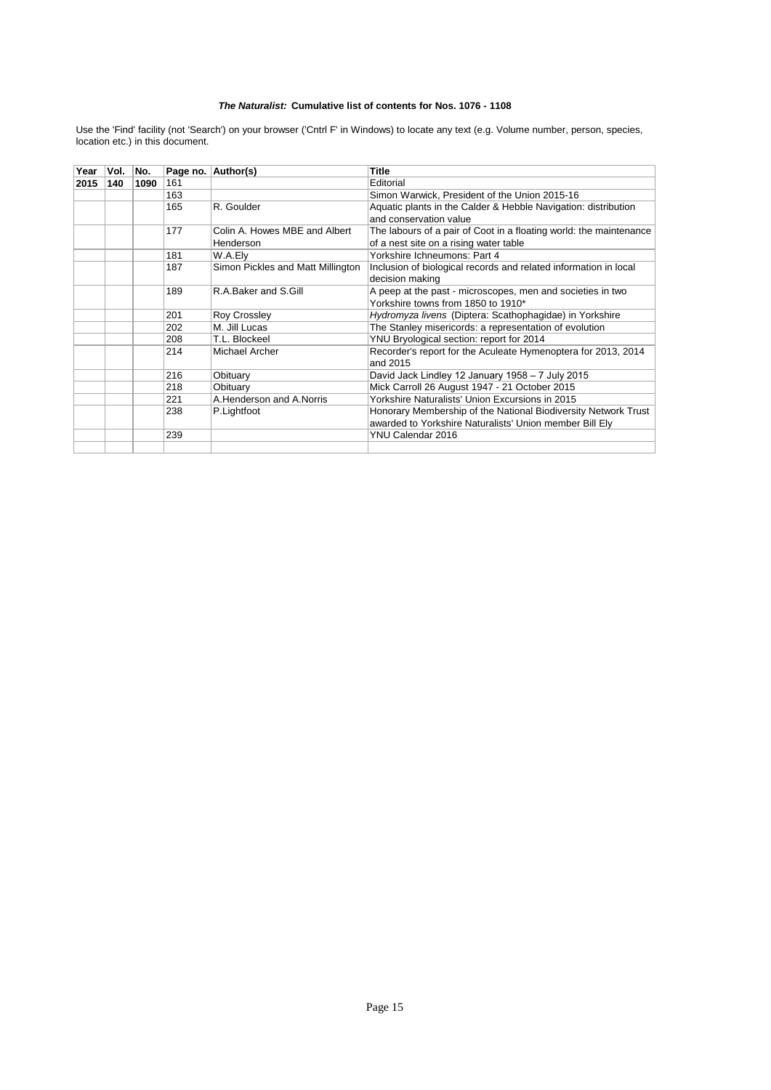| Year | Vol. | No.  |     | Page no. Author(s)                         | Title                                                                                                        |
|------|------|------|-----|--------------------------------------------|--------------------------------------------------------------------------------------------------------------|
| 2015 | 140  | 1090 | 161 |                                            | Editorial                                                                                                    |
|      |      |      | 163 |                                            | Simon Warwick, President of the Union 2015-16                                                                |
|      |      |      | 165 | R. Goulder                                 | Aquatic plants in the Calder & Hebble Navigation: distribution<br>and conservation value                     |
|      |      |      | 177 | Colin A. Howes MBE and Albert<br>Henderson | The labours of a pair of Coot in a floating world: the maintenance<br>of a nest site on a rising water table |
|      |      |      | 181 | W.A.Ely                                    | Yorkshire Ichneumons: Part 4                                                                                 |
|      |      |      | 187 | Simon Pickles and Matt Millington          | Inclusion of biological records and related information in local<br>decision making                          |
|      |      |      | 189 | R.A.Baker and S.Gill                       | A peep at the past - microscopes, men and societies in two<br>Yorkshire towns from 1850 to 1910*             |
|      |      |      | 201 | Roy Crossley                               | Hydromyza livens (Diptera: Scathophagidae) in Yorkshire                                                      |
|      |      |      | 202 | M. Jill Lucas                              | The Stanley misericords: a representation of evolution                                                       |
|      |      |      | 208 | T.L. Blockeel                              | YNU Bryological section: report for 2014                                                                     |
|      |      |      | 214 | Michael Archer                             | Recorder's report for the Aculeate Hymenoptera for 2013, 2014<br>and 2015                                    |
|      |      |      | 216 | Obituary                                   | David Jack Lindley 12 January 1958 - 7 July 2015                                                             |
|      |      |      | 218 | Obituary                                   | Mick Carroll 26 August 1947 - 21 October 2015                                                                |
|      |      |      | 221 | A. Henderson and A. Norris                 | Yorkshire Naturalists' Union Excursions in 2015                                                              |
|      |      |      | 238 | P.Lightfoot                                | Honorary Membership of the National Biodiversity Network Trust                                               |
|      |      |      |     |                                            | awarded to Yorkshire Naturalists' Union member Bill Ely                                                      |
|      |      |      | 239 |                                            | YNU Calendar 2016                                                                                            |
|      |      |      |     |                                            |                                                                                                              |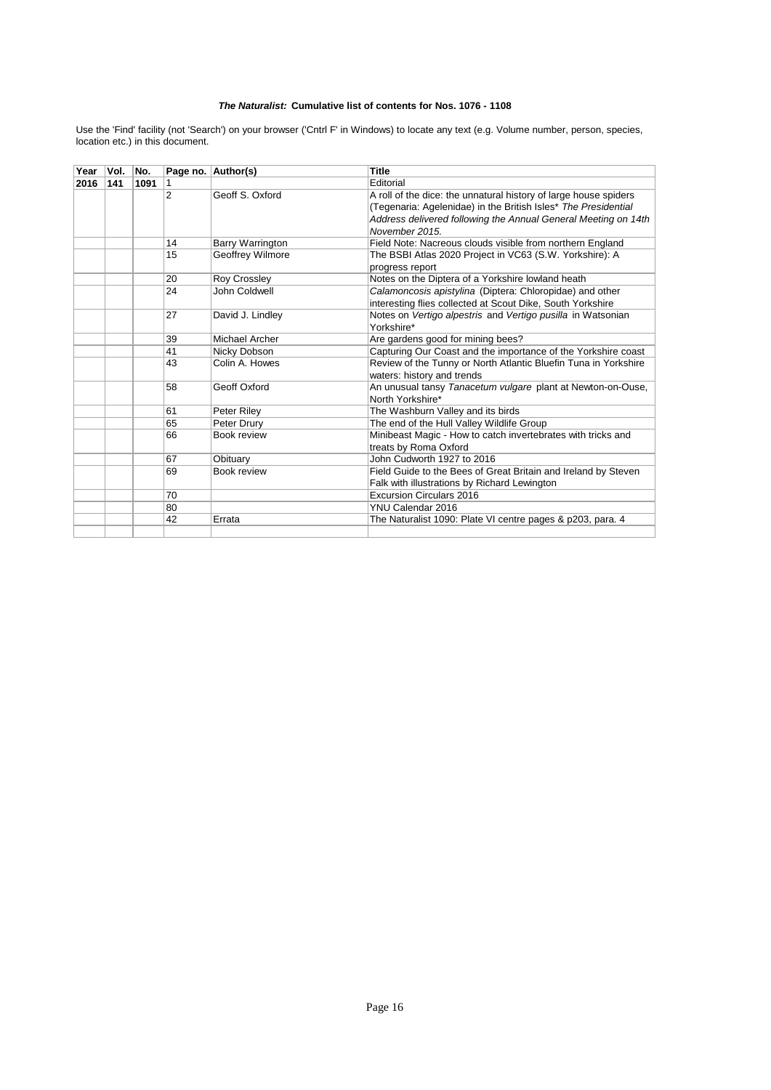| Year | Vol. | No.  |                | Page no. Author(s) | <b>Title</b>                                                     |
|------|------|------|----------------|--------------------|------------------------------------------------------------------|
| 2016 | 141  | 1091 | 1              |                    | Editorial                                                        |
|      |      |      | $\overline{2}$ | Geoff S. Oxford    | A roll of the dice: the unnatural history of large house spiders |
|      |      |      |                |                    | (Tegenaria: Agelenidae) in the British Isles* The Presidential   |
|      |      |      |                |                    | Address delivered following the Annual General Meeting on 14th   |
|      |      |      |                |                    | November 2015.                                                   |
|      |      |      | 14             | Barry Warrington   | Field Note: Nacreous clouds visible from northern England        |
|      |      |      | 15             | Geoffrey Wilmore   | The BSBI Atlas 2020 Project in VC63 (S.W. Yorkshire): A          |
|      |      |      |                |                    | progress report                                                  |
|      |      |      | 20             | Roy Crossley       | Notes on the Diptera of a Yorkshire lowland heath                |
|      |      |      | 24             | John Coldwell      | Calamoncosis apistylina (Diptera: Chloropidae) and other         |
|      |      |      |                |                    | interesting flies collected at Scout Dike, South Yorkshire       |
|      |      |      | 27             | David J. Lindley   | Notes on Vertigo alpestris and Vertigo pusilla in Watsonian      |
|      |      |      |                |                    | Yorkshire*                                                       |
|      |      |      | 39             | Michael Archer     | Are gardens good for mining bees?                                |
|      |      |      | 41             | Nicky Dobson       | Capturing Our Coast and the importance of the Yorkshire coast    |
|      |      |      | 43             | Colin A. Howes     | Review of the Tunny or North Atlantic Bluefin Tuna in Yorkshire  |
|      |      |      |                |                    | waters: history and trends                                       |
|      |      |      | 58             | Geoff Oxford       | An unusual tansy Tanacetum vulgare plant at Newton-on-Ouse,      |
|      |      |      |                |                    | North Yorkshire*                                                 |
|      |      |      | 61             | Peter Riley        | The Washburn Valley and its birds                                |
|      |      |      | 65             | Peter Drury        | The end of the Hull Valley Wildlife Group                        |
|      |      |      | 66             | Book review        | Minibeast Magic - How to catch invertebrates with tricks and     |
|      |      |      |                |                    | treats by Roma Oxford                                            |
|      |      |      | 67             | Obituary           | John Cudworth 1927 to 2016                                       |
|      |      |      | 69             | Book review        | Field Guide to the Bees of Great Britain and Ireland by Steven   |
|      |      |      |                |                    | Falk with illustrations by Richard Lewington                     |
|      |      |      | 70             |                    | <b>Excursion Circulars 2016</b>                                  |
|      |      |      | 80             |                    | YNU Calendar 2016                                                |
|      |      |      | 42             | Errata             | The Naturalist 1090: Plate VI centre pages & p203, para. 4       |
|      |      |      |                |                    |                                                                  |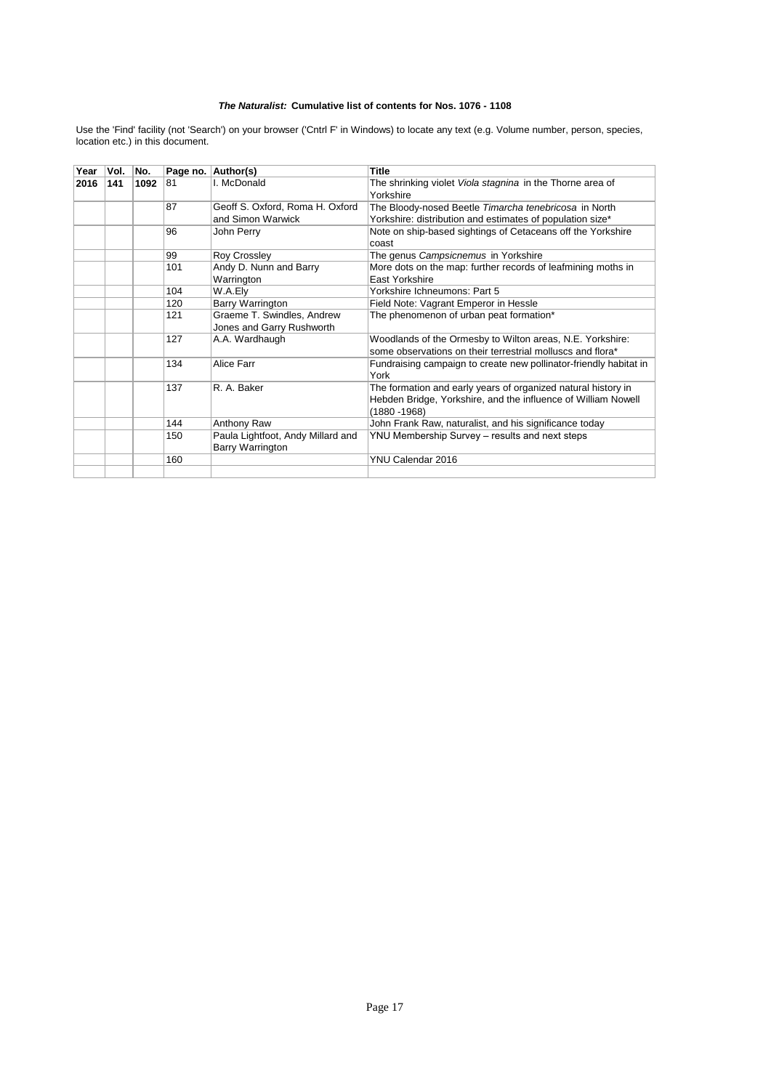| Year | Vol. | No.  |     | Page no. Author(s)                                    | <b>Title</b>                                                                                                                                      |
|------|------|------|-----|-------------------------------------------------------|---------------------------------------------------------------------------------------------------------------------------------------------------|
| 2016 | 141  | 1092 | 81  | I. McDonald                                           | The shrinking violet Viola stagnina in the Thorne area of                                                                                         |
|      |      |      |     |                                                       | Yorkshire                                                                                                                                         |
|      |      |      | 87  | Geoff S. Oxford, Roma H. Oxford                       | The Bloody-nosed Beetle Timarcha tenebricosa in North                                                                                             |
|      |      |      |     | and Simon Warwick                                     | Yorkshire: distribution and estimates of population size*                                                                                         |
|      |      |      | 96  | John Perry                                            | Note on ship-based sightings of Cetaceans off the Yorkshire<br>coast                                                                              |
|      |      |      | 99  | Roy Crossley                                          | The genus Campsicnemus in Yorkshire                                                                                                               |
|      |      |      | 101 | Andy D. Nunn and Barry                                | More dots on the map: further records of leafmining moths in                                                                                      |
|      |      |      |     | Warrington                                            | East Yorkshire                                                                                                                                    |
|      |      |      | 104 | W.A.Elv                                               | Yorkshire Ichneumons: Part 5                                                                                                                      |
|      |      |      | 120 | <b>Barry Warrington</b>                               | Field Note: Vagrant Emperor in Hessle                                                                                                             |
|      |      |      | 121 | Graeme T. Swindles, Andrew                            | The phenomenon of urban peat formation*                                                                                                           |
|      |      |      |     | Jones and Garry Rushworth                             |                                                                                                                                                   |
|      |      |      | 127 | A.A. Wardhaugh                                        | Woodlands of the Ormesby to Wilton areas, N.E. Yorkshire:                                                                                         |
|      |      |      |     |                                                       | some observations on their terrestrial molluscs and flora*                                                                                        |
|      |      |      | 134 | Alice Farr                                            | Fundraising campaign to create new pollinator-friendly habitat in<br>York                                                                         |
|      |      |      | 137 | R. A. Baker                                           | The formation and early years of organized natural history in<br>Hebden Bridge, Yorkshire, and the influence of William Nowell<br>$(1880 - 1968)$ |
|      |      |      | 144 | Anthony Raw                                           | John Frank Raw, naturalist, and his significance today                                                                                            |
|      |      |      | 150 | Paula Lightfoot, Andy Millard and<br>Barry Warrington | YNU Membership Survey - results and next steps                                                                                                    |
|      |      |      | 160 |                                                       | YNU Calendar 2016                                                                                                                                 |
|      |      |      |     |                                                       |                                                                                                                                                   |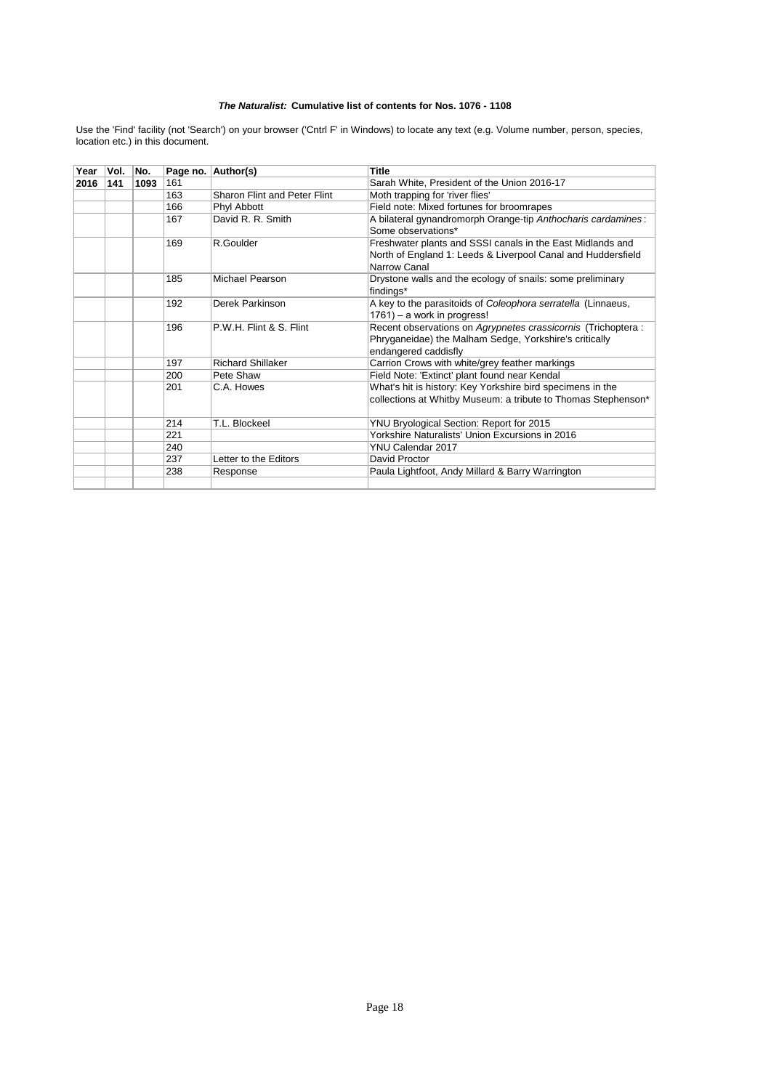| Year | Vol. | No.  |     | Page no. Author(s)           | <b>Title</b>                                                                                                                                   |
|------|------|------|-----|------------------------------|------------------------------------------------------------------------------------------------------------------------------------------------|
| 2016 | 141  | 1093 | 161 |                              | Sarah White, President of the Union 2016-17                                                                                                    |
|      |      |      | 163 | Sharon Flint and Peter Flint | Moth trapping for 'river flies'                                                                                                                |
|      |      |      | 166 | Phyl Abbott                  | Field note: Mixed fortunes for broomrapes                                                                                                      |
|      |      |      | 167 | David R. R. Smith            | A bilateral gynandromorph Orange-tip Anthocharis cardamines:<br>Some observations*                                                             |
|      |      |      | 169 | R.Goulder                    | Freshwater plants and SSSI canals in the East Midlands and<br>North of England 1: Leeds & Liverpool Canal and Huddersfield<br>Narrow Canal     |
|      |      |      | 185 | Michael Pearson              | Drystone walls and the ecology of snails: some preliminary<br>findings*                                                                        |
|      |      |      | 192 | Derek Parkinson              | A key to the parasitoids of Coleophora serratella (Linnaeus,<br>1761) – a work in progress!                                                    |
|      |      |      | 196 | P.W.H. Flint & S. Flint      | Recent observations on Agrypnetes crassicornis (Trichoptera:<br>Phryganeidae) the Malham Sedge, Yorkshire's critically<br>endangered caddisfly |
|      |      |      | 197 | <b>Richard Shillaker</b>     | Carrion Crows with white/grey feather markings                                                                                                 |
|      |      |      | 200 | Pete Shaw                    | Field Note: 'Extinct' plant found near Kendal                                                                                                  |
|      |      |      | 201 | C.A. Howes                   | What's hit is history: Key Yorkshire bird specimens in the<br>collections at Whitby Museum: a tribute to Thomas Stephenson*                    |
|      |      |      | 214 | T.L. Blockeel                | YNU Bryological Section: Report for 2015                                                                                                       |
|      |      |      | 221 |                              | Yorkshire Naturalists' Union Excursions in 2016                                                                                                |
|      |      |      | 240 |                              | YNU Calendar 2017                                                                                                                              |
|      |      |      | 237 | Letter to the Editors        | David Proctor                                                                                                                                  |
|      |      |      | 238 | Response                     | Paula Lightfoot, Andy Millard & Barry Warrington                                                                                               |
|      |      |      |     |                              |                                                                                                                                                |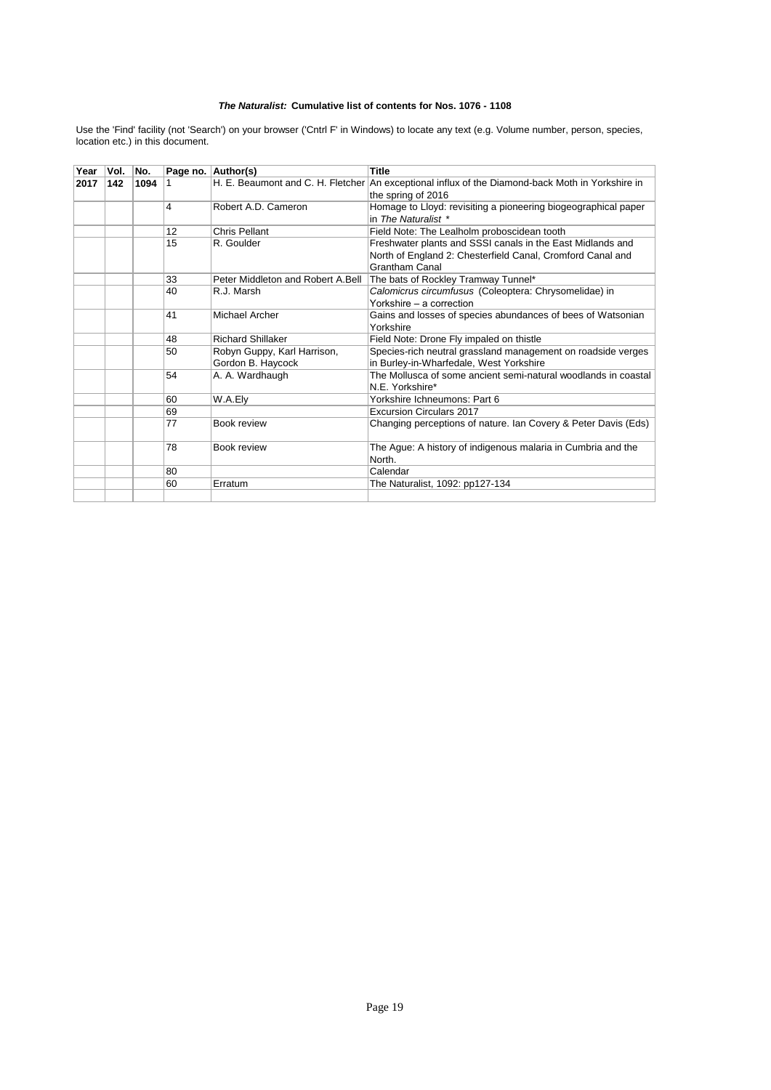| Year | Vol. | No.  |    | Page no. Author(s)                               | <b>Title</b>                                                                                                                               |
|------|------|------|----|--------------------------------------------------|--------------------------------------------------------------------------------------------------------------------------------------------|
| 2017 | 142  | 1094 |    |                                                  | H. E. Beaumont and C. H. Fletcher An exceptional influx of the Diamond-back Moth in Yorkshire in<br>the spring of 2016                     |
|      |      |      | 4  | Robert A.D. Cameron                              | Homage to Lloyd: revisiting a pioneering biogeographical paper<br>in The Naturalist *                                                      |
|      |      |      | 12 | Chris Pellant                                    | Field Note: The Lealholm proboscidean tooth                                                                                                |
|      |      |      | 15 | R. Goulder                                       | Freshwater plants and SSSI canals in the East Midlands and<br>North of England 2: Chesterfield Canal, Cromford Canal and<br>Grantham Canal |
|      |      |      | 33 | Peter Middleton and Robert A.Bell                | The bats of Rockley Tramway Tunnel*                                                                                                        |
|      |      |      | 40 | R.J. Marsh                                       | Calomicrus circumfusus (Coleoptera: Chrysomelidae) in<br>Yorkshire – a correction                                                          |
|      |      |      | 41 | Michael Archer                                   | Gains and losses of species abundances of bees of Watsonian<br>Yorkshire                                                                   |
|      |      |      | 48 | <b>Richard Shillaker</b>                         | Field Note: Drone Fly impaled on thistle                                                                                                   |
|      |      |      | 50 | Robyn Guppy, Karl Harrison,<br>Gordon B. Haycock | Species-rich neutral grassland management on roadside verges<br>in Burley-in-Wharfedale, West Yorkshire                                    |
|      |      |      | 54 | A. A. Wardhaugh                                  | The Mollusca of some ancient semi-natural woodlands in coastal<br>N.E. Yorkshire*                                                          |
|      |      |      | 60 | W.A.Ely                                          | Yorkshire Ichneumons: Part 6                                                                                                               |
|      |      |      | 69 |                                                  | <b>Excursion Circulars 2017</b>                                                                                                            |
|      |      |      | 77 | Book review                                      | Changing perceptions of nature. Ian Covery & Peter Davis (Eds)                                                                             |
|      |      |      | 78 | Book review                                      | The Ague: A history of indigenous malaria in Cumbria and the<br>North.                                                                     |
|      |      |      | 80 |                                                  | Calendar                                                                                                                                   |
|      |      |      | 60 | Erratum                                          | The Naturalist, 1092: pp127-134                                                                                                            |
|      |      |      |    |                                                  |                                                                                                                                            |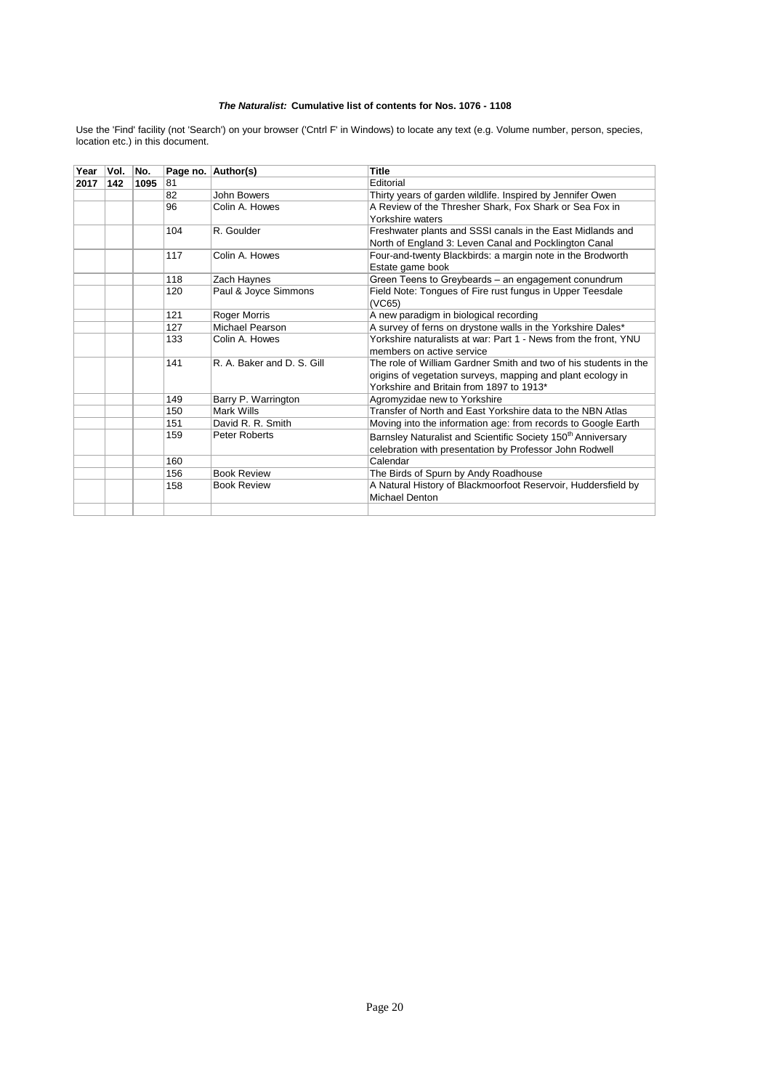| Year | Vol. | No.  |     | Page no. Author(s)         | <b>Title</b>                                                             |
|------|------|------|-----|----------------------------|--------------------------------------------------------------------------|
| 2017 | 142  | 1095 | 81  |                            | Editorial                                                                |
|      |      |      | 82  | John Bowers                | Thirty years of garden wildlife. Inspired by Jennifer Owen               |
|      |      |      | 96  | Colin A. Howes             | A Review of the Thresher Shark, Fox Shark or Sea Fox in                  |
|      |      |      |     |                            | Yorkshire waters                                                         |
|      |      |      | 104 | R. Goulder                 | Freshwater plants and SSSI canals in the East Midlands and               |
|      |      |      |     |                            | North of England 3: Leven Canal and Pocklington Canal                    |
|      |      |      | 117 | Colin A. Howes             | Four-and-twenty Blackbirds: a margin note in the Brodworth               |
|      |      |      |     |                            | Estate game book                                                         |
|      |      |      | 118 | Zach Haynes                | Green Teens to Greybeards - an engagement conundrum                      |
|      |      |      | 120 | Paul & Joyce Simmons       | Field Note: Tongues of Fire rust fungus in Upper Teesdale                |
|      |      |      |     |                            | (VC65)                                                                   |
|      |      |      | 121 | Roger Morris               | A new paradigm in biological recording                                   |
|      |      |      | 127 | Michael Pearson            | A survey of ferns on drystone walls in the Yorkshire Dales*              |
|      |      |      | 133 | Colin A. Howes             | Yorkshire naturalists at war: Part 1 - News from the front, YNU          |
|      |      |      |     |                            | members on active service                                                |
|      |      |      | 141 | R. A. Baker and D. S. Gill | The role of William Gardner Smith and two of his students in the         |
|      |      |      |     |                            | origins of vegetation surveys, mapping and plant ecology in              |
|      |      |      |     |                            | Yorkshire and Britain from 1897 to 1913*                                 |
|      |      |      | 149 | Barry P. Warrington        | Agromyzidae new to Yorkshire                                             |
|      |      |      | 150 | <b>Mark Wills</b>          | Transfer of North and East Yorkshire data to the NBN Atlas               |
|      |      |      | 151 | David R. R. Smith          | Moving into the information age: from records to Google Earth            |
|      |      |      | 159 | Peter Roberts              | Barnsley Naturalist and Scientific Society 150 <sup>th</sup> Anniversary |
|      |      |      |     |                            | celebration with presentation by Professor John Rodwell                  |
|      |      |      | 160 |                            | Calendar                                                                 |
|      |      |      | 156 | <b>Book Review</b>         | The Birds of Spurn by Andy Roadhouse                                     |
|      |      |      | 158 | <b>Book Review</b>         | A Natural History of Blackmoorfoot Reservoir, Huddersfield by            |
|      |      |      |     |                            | Michael Denton                                                           |
|      |      |      |     |                            |                                                                          |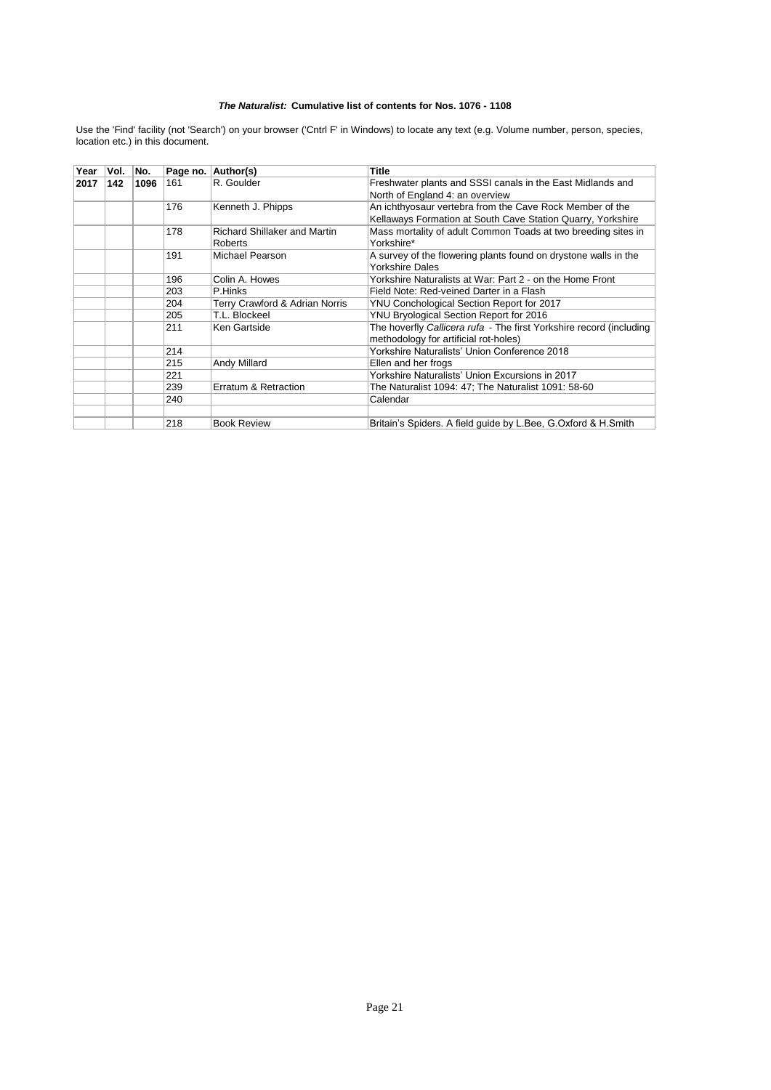| Year | Vol. | No.  |     | Page no. Author(s)                  | <b>Title</b>                                                        |
|------|------|------|-----|-------------------------------------|---------------------------------------------------------------------|
| 2017 | 142  | 1096 | 161 | R. Goulder                          | Freshwater plants and SSSI canals in the East Midlands and          |
|      |      |      |     |                                     | North of England 4: an overview                                     |
|      |      |      | 176 | Kenneth J. Phipps                   | An ichthyosaur vertebra from the Cave Rock Member of the            |
|      |      |      |     |                                     | Kellaways Formation at South Cave Station Quarry, Yorkshire         |
|      |      |      | 178 | <b>Richard Shillaker and Martin</b> | Mass mortality of adult Common Toads at two breeding sites in       |
|      |      |      |     | Roberts                             | Yorkshire*                                                          |
|      |      |      | 191 | <b>Michael Pearson</b>              | A survey of the flowering plants found on drystone walls in the     |
|      |      |      |     |                                     | Yorkshire Dales                                                     |
|      |      |      | 196 | Colin A. Howes                      | Yorkshire Naturalists at War: Part 2 - on the Home Front            |
|      |      |      | 203 | P.Hinks                             | Field Note: Red-veined Darter in a Flash                            |
|      |      |      | 204 | Terry Crawford & Adrian Norris      | YNU Conchological Section Report for 2017                           |
|      |      |      | 205 | T.L. Blockeel                       | YNU Bryological Section Report for 2016                             |
|      |      |      | 211 | Ken Gartside                        | The hoverfly Callicera rufa - The first Yorkshire record (including |
|      |      |      |     |                                     | methodology for artificial rot-holes)                               |
|      |      |      | 214 |                                     | Yorkshire Naturalists' Union Conference 2018                        |
|      |      |      | 215 | <b>Andy Millard</b>                 | Ellen and her frogs                                                 |
|      |      |      | 221 |                                     | Yorkshire Naturalists' Union Excursions in 2017                     |
|      |      |      | 239 | Erratum & Retraction                | The Naturalist 1094: 47; The Naturalist 1091: 58-60                 |
|      |      |      | 240 |                                     | Calendar                                                            |
|      |      |      |     |                                     |                                                                     |
|      |      |      | 218 | <b>Book Review</b>                  | Britain's Spiders. A field quide by L.Bee, G.Oxford & H.Smith       |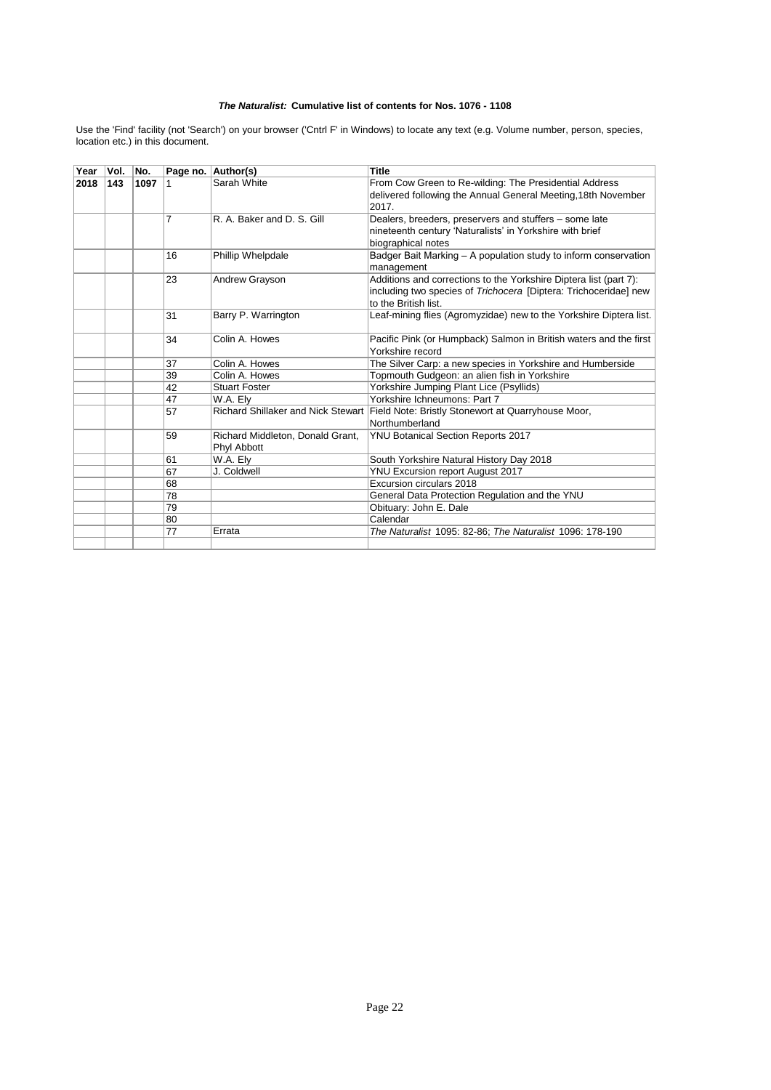| Year | Vol. | No.  |                | Page no. Author(s)               | <b>Title</b>                                                                          |
|------|------|------|----------------|----------------------------------|---------------------------------------------------------------------------------------|
| 2018 | 143  | 1097 |                | Sarah White                      | From Cow Green to Re-wilding: The Presidential Address                                |
|      |      |      |                |                                  | delivered following the Annual General Meeting, 18th November                         |
|      |      |      |                |                                  | 2017.                                                                                 |
|      |      |      | $\overline{7}$ | R. A. Baker and D. S. Gill       | Dealers, breeders, preservers and stuffers - some late                                |
|      |      |      |                |                                  | nineteenth century 'Naturalists' in Yorkshire with brief                              |
|      |      |      |                |                                  | biographical notes                                                                    |
|      |      |      | 16             | Phillip Whelpdale                | Badger Bait Marking - A population study to inform conservation                       |
|      |      |      |                |                                  | management                                                                            |
|      |      |      | 23             | Andrew Grayson                   | Additions and corrections to the Yorkshire Diptera list (part 7):                     |
|      |      |      |                |                                  | including two species of Trichocera [Diptera: Trichoceridae] new                      |
|      |      |      |                |                                  | to the British list.                                                                  |
|      |      |      | 31             | Barry P. Warrington              | Leaf-mining flies (Agromyzidae) new to the Yorkshire Diptera list.                    |
|      |      |      |                |                                  |                                                                                       |
|      |      |      | 34             | Colin A. Howes                   | Pacific Pink (or Humpback) Salmon in British waters and the first                     |
|      |      |      |                |                                  | Yorkshire record                                                                      |
|      |      |      | 37             | Colin A. Howes                   | The Silver Carp: a new species in Yorkshire and Humberside                            |
|      |      |      | 39             | Colin A. Howes                   | Topmouth Gudgeon: an alien fish in Yorkshire                                          |
|      |      |      | 42             | <b>Stuart Foster</b>             | Yorkshire Jumping Plant Lice (Psyllids)                                               |
|      |      |      | 47             | W.A. Ely                         | Yorkshire Ichneumons: Part 7                                                          |
|      |      |      | 57             |                                  | Richard Shillaker and Nick Stewart Field Note: Bristly Stonewort at Quarryhouse Moor, |
|      |      |      |                |                                  | Northumberland                                                                        |
|      |      |      | 59             | Richard Middleton, Donald Grant, | YNU Botanical Section Reports 2017                                                    |
|      |      |      |                | <b>Phyl Abbott</b>               |                                                                                       |
|      |      |      | 61             | W.A. Ely                         | South Yorkshire Natural History Day 2018                                              |
|      |      |      | 67             | J. Coldwell                      | YNU Excursion report August 2017                                                      |
|      |      |      | 68             |                                  | Excursion circulars 2018                                                              |
|      |      |      | 78             |                                  | General Data Protection Regulation and the YNU                                        |
|      |      |      | 79             |                                  | Obituary: John E. Dale                                                                |
|      |      |      | 80             |                                  | Calendar                                                                              |
|      |      |      | 77             | Errata                           | The Naturalist 1095: 82-86; The Naturalist 1096: 178-190                              |
|      |      |      |                |                                  |                                                                                       |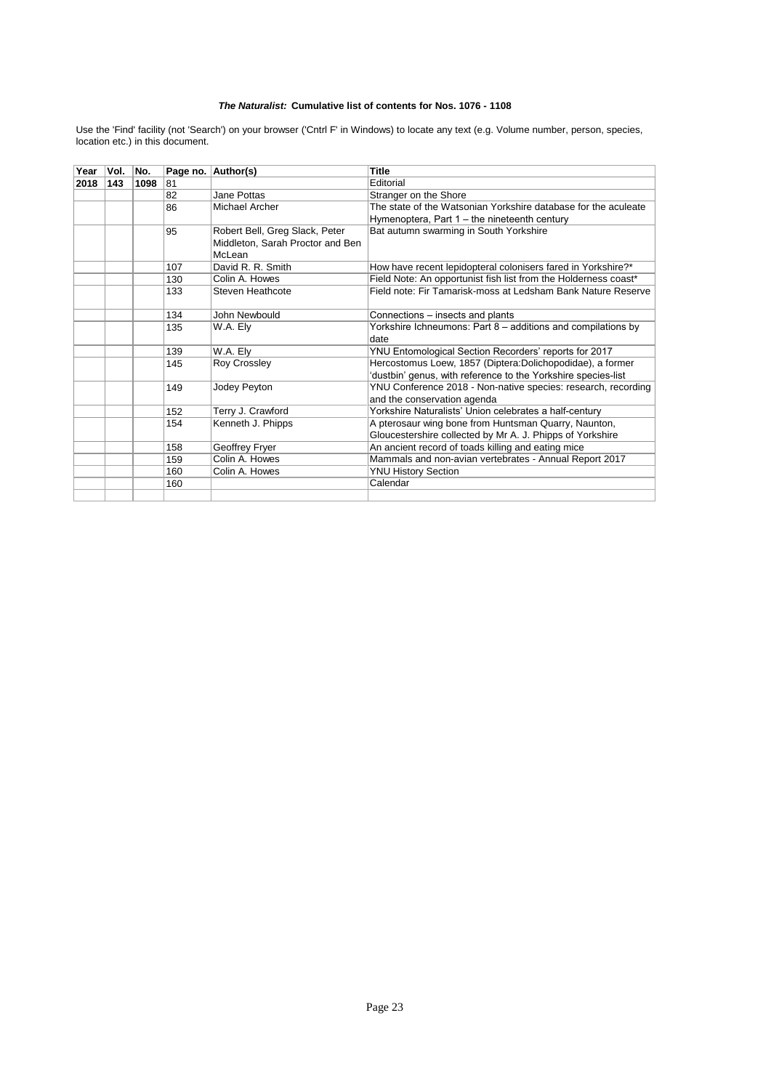| Year | Vol. | No.  |     | Page no. Author(s)               | <b>Title</b>                                                    |
|------|------|------|-----|----------------------------------|-----------------------------------------------------------------|
| 2018 | 143  | 1098 | 81  |                                  | Editorial                                                       |
|      |      |      | 82  | Jane Pottas                      | Stranger on the Shore                                           |
|      |      |      | 86  | Michael Archer                   | The state of the Watsonian Yorkshire database for the aculeate  |
|      |      |      |     |                                  | Hymenoptera, Part $1$ – the nineteenth century                  |
|      |      |      | 95  | Robert Bell, Greg Slack, Peter   | Bat autumn swarming in South Yorkshire                          |
|      |      |      |     | Middleton, Sarah Proctor and Ben |                                                                 |
|      |      |      |     | McLean                           |                                                                 |
|      |      |      | 107 | David R. R. Smith                | How have recent lepidopteral colonisers fared in Yorkshire?*    |
|      |      |      | 130 | Colin A. Howes                   | Field Note: An opportunist fish list from the Holderness coast* |
|      |      |      | 133 | Steven Heathcote                 | Field note: Fir Tamarisk-moss at Ledsham Bank Nature Reserve    |
|      |      |      |     |                                  |                                                                 |
|      |      |      | 134 | John Newbould                    | Connections – insects and plants                                |
|      |      |      | 135 | W.A. Ely                         | Yorkshire Ichneumons: Part 8 - additions and compilations by    |
|      |      |      |     |                                  | date                                                            |
|      |      |      | 139 | W.A. Ely                         | YNU Entomological Section Recorders' reports for 2017           |
|      |      |      | 145 | <b>Roy Crossley</b>              | Hercostomus Loew, 1857 (Diptera:Dolichopodidae), a former       |
|      |      |      |     |                                  | 'dustbin' genus, with reference to the Yorkshire species-list   |
|      |      |      | 149 | Jodey Peyton                     | YNU Conference 2018 - Non-native species: research, recording   |
|      |      |      |     |                                  | and the conservation agenda                                     |
|      |      |      | 152 | Terry J. Crawford                | Yorkshire Naturalists' Union celebrates a half-century          |
|      |      |      | 154 | Kenneth J. Phipps                | A pterosaur wing bone from Huntsman Quarry, Naunton,            |
|      |      |      |     |                                  | Gloucestershire collected by Mr A. J. Phipps of Yorkshire       |
|      |      |      | 158 | Geoffrey Fryer                   | An ancient record of toads killing and eating mice              |
|      |      |      | 159 | Colin A. Howes                   | Mammals and non-avian vertebrates - Annual Report 2017          |
|      |      |      | 160 | Colin A. Howes                   | YNU History Section                                             |
|      |      |      | 160 |                                  | Calendar                                                        |
|      |      |      |     |                                  |                                                                 |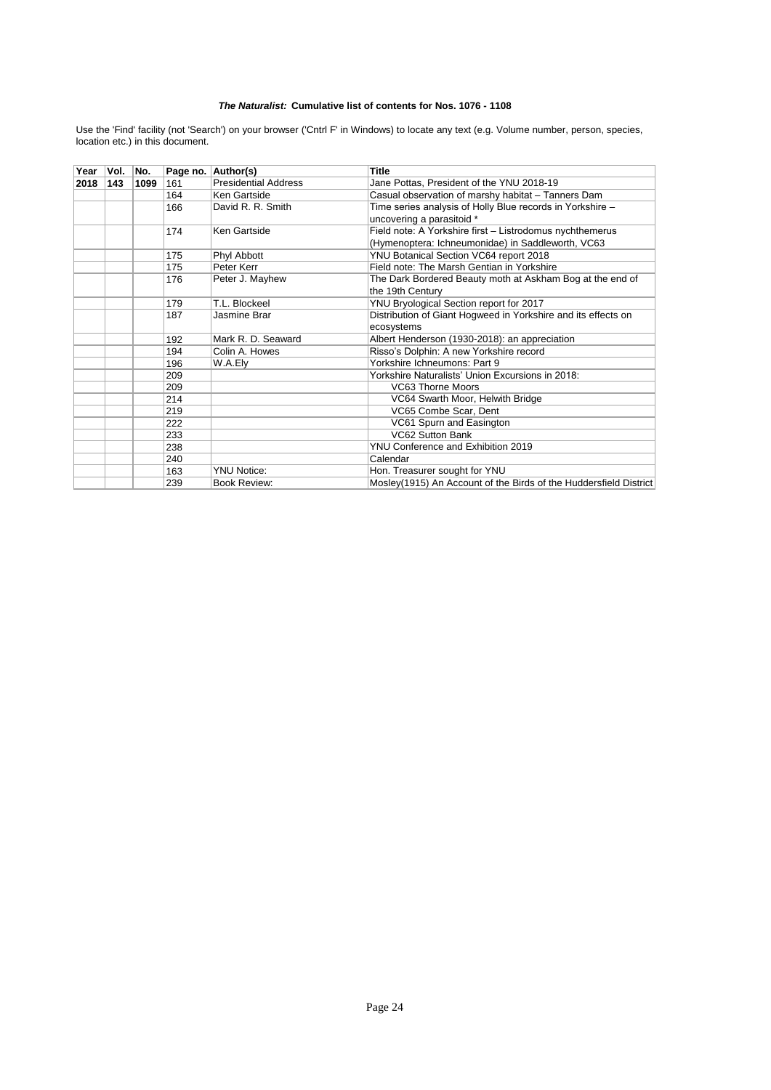| Year | Vol. | No.  |     | Page no. Author(s)          | <b>Title</b>                                                      |
|------|------|------|-----|-----------------------------|-------------------------------------------------------------------|
| 2018 | 143  | 1099 | 161 | <b>Presidential Address</b> | Jane Pottas, President of the YNU 2018-19                         |
|      |      |      | 164 | Ken Gartside                | Casual observation of marshy habitat - Tanners Dam                |
|      |      |      | 166 | David R. R. Smith           | Time series analysis of Holly Blue records in Yorkshire -         |
|      |      |      |     |                             | uncovering a parasitoid *                                         |
|      |      |      | 174 | Ken Gartside                | Field note: A Yorkshire first - Listrodomus nychthemerus          |
|      |      |      |     |                             | (Hymenoptera: Ichneumonidae) in Saddleworth, VC63                 |
|      |      |      | 175 | <b>Phyl Abbott</b>          | YNU Botanical Section VC64 report 2018                            |
|      |      |      | 175 | Peter Kerr                  | Field note: The Marsh Gentian in Yorkshire                        |
|      |      |      | 176 | Peter J. Mayhew             | The Dark Bordered Beauty moth at Askham Bog at the end of         |
|      |      |      |     |                             | the 19th Century                                                  |
|      |      |      | 179 | T.L. Blockeel               | YNU Bryological Section report for 2017                           |
|      |      |      | 187 | Jasmine Brar                | Distribution of Giant Hogweed in Yorkshire and its effects on     |
|      |      |      |     |                             | ecosystems                                                        |
|      |      |      | 192 | Mark R. D. Seaward          | Albert Henderson (1930-2018): an appreciation                     |
|      |      |      | 194 | Colin A. Howes              | Risso's Dolphin: A new Yorkshire record                           |
|      |      |      | 196 | W.A.Ely                     | Yorkshire Ichneumons: Part 9                                      |
|      |      |      | 209 |                             | Yorkshire Naturalists' Union Excursions in 2018:                  |
|      |      |      | 209 |                             | VC63 Thorne Moors                                                 |
|      |      |      | 214 |                             | VC64 Swarth Moor, Helwith Bridge                                  |
|      |      |      | 219 |                             | VC65 Combe Scar, Dent                                             |
|      |      |      | 222 |                             | VC61 Spurn and Easington                                          |
|      |      |      | 233 |                             | VC62 Sutton Bank                                                  |
|      |      |      | 238 |                             | YNU Conference and Exhibition 2019                                |
|      |      |      | 240 |                             | Calendar                                                          |
|      |      |      | 163 | <b>YNU Notice:</b>          | Hon. Treasurer sought for YNU                                     |
|      |      |      | 239 | <b>Book Review:</b>         | Mosley(1915) An Account of the Birds of the Huddersfield District |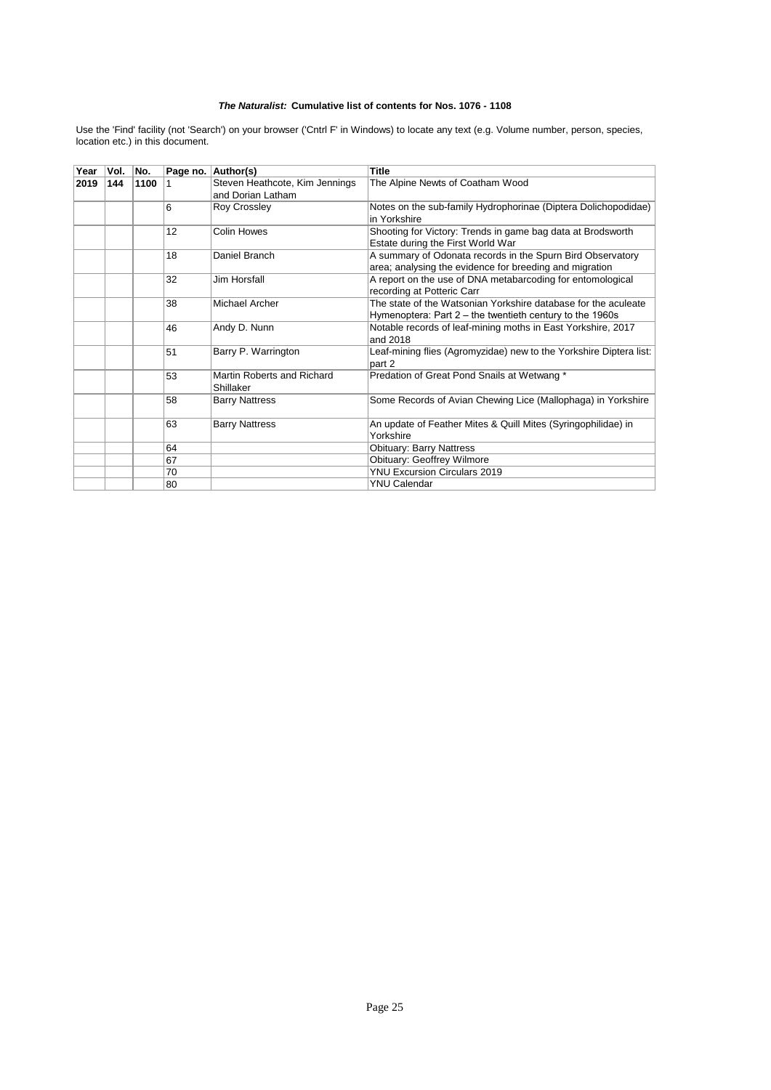| Year | Vol. | No.  |    | Page no. Author(s)                                  | <b>Title</b>                                                                                                                 |
|------|------|------|----|-----------------------------------------------------|------------------------------------------------------------------------------------------------------------------------------|
| 2019 | 144  | 1100 |    | Steven Heathcote, Kim Jennings<br>and Dorian Latham | The Alpine Newts of Coatham Wood                                                                                             |
|      |      |      | 6  | Roy Crossley                                        | Notes on the sub-family Hydrophorinae (Diptera Dolichopodidae)<br>in Yorkshire                                               |
|      |      |      | 12 | Colin Howes                                         | Shooting for Victory: Trends in game bag data at Brodsworth<br>Estate during the First World War                             |
|      |      |      | 18 | Daniel Branch                                       | A summary of Odonata records in the Spurn Bird Observatory<br>area; analysing the evidence for breeding and migration        |
|      |      |      | 32 | Jim Horsfall                                        | A report on the use of DNA metabarcoding for entomological<br>recording at Potteric Carr                                     |
|      |      |      | 38 | Michael Archer                                      | The state of the Watsonian Yorkshire database for the aculeate<br>Hymenoptera: Part $2$ – the twentieth century to the 1960s |
|      |      |      | 46 | Andy D. Nunn                                        | Notable records of leaf-mining moths in East Yorkshire, 2017<br>and 2018                                                     |
|      |      |      | 51 | Barry P. Warrington                                 | Leaf-mining flies (Agromyzidae) new to the Yorkshire Diptera list:<br>part 2                                                 |
|      |      |      | 53 | Martin Roberts and Richard<br>Shillaker             | Predation of Great Pond Snails at Wetwang *                                                                                  |
|      |      |      | 58 | <b>Barry Nattress</b>                               | Some Records of Avian Chewing Lice (Mallophaga) in Yorkshire                                                                 |
|      |      |      | 63 | <b>Barry Nattress</b>                               | An update of Feather Mites & Quill Mites (Syringophilidae) in<br>Yorkshire                                                   |
|      |      |      | 64 |                                                     | <b>Obituary: Barry Nattress</b>                                                                                              |
|      |      |      | 67 |                                                     | Obituary: Geoffrey Wilmore                                                                                                   |
|      |      |      | 70 |                                                     | <b>YNU Excursion Circulars 2019</b>                                                                                          |
|      |      |      | 80 |                                                     | YNU Calendar                                                                                                                 |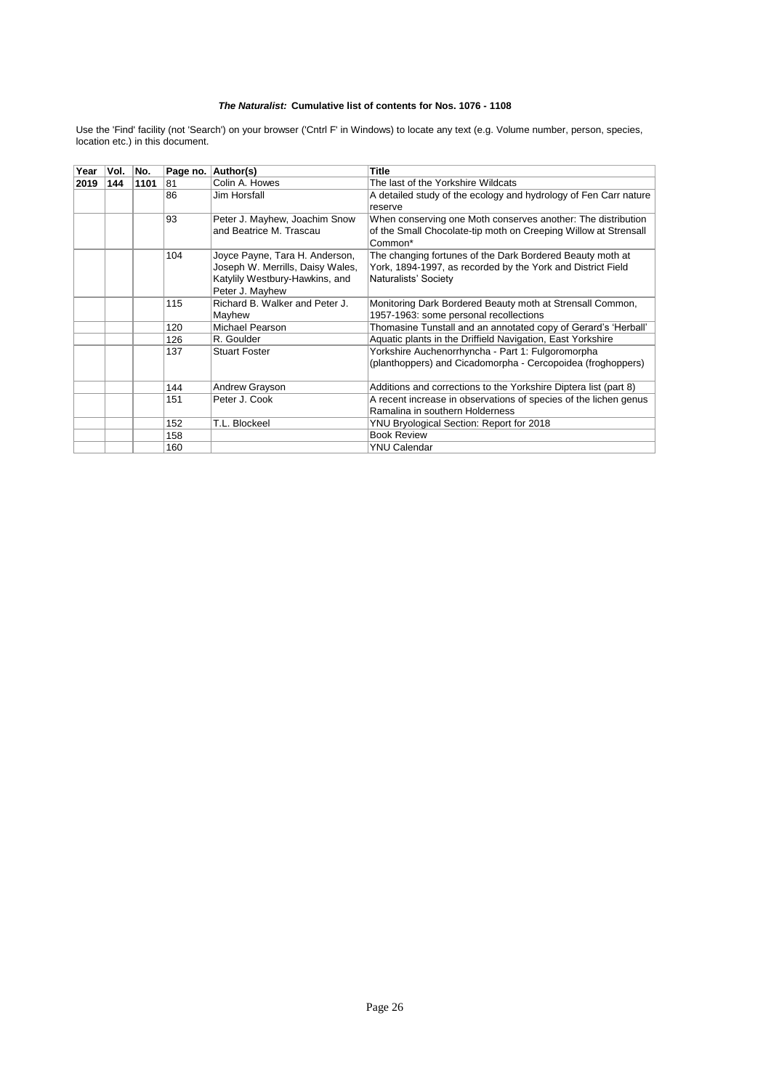| Year | Vol. | No.  |     | Page no. Author(s)               | <b>Title</b>                                                     |
|------|------|------|-----|----------------------------------|------------------------------------------------------------------|
| 2019 | 144  | 1101 | 81  | Colin A. Howes                   | The last of the Yorkshire Wildcats                               |
|      |      |      | 86  | Jim Horsfall                     | A detailed study of the ecology and hydrology of Fen Carr nature |
|      |      |      |     |                                  | reserve                                                          |
|      |      |      | 93  | Peter J. Mayhew, Joachim Snow    | When conserving one Moth conserves another: The distribution     |
|      |      |      |     | and Beatrice M. Trascau          | of the Small Chocolate-tip moth on Creeping Willow at Strensall  |
|      |      |      |     |                                  | Common*                                                          |
|      |      |      | 104 | Joyce Payne, Tara H. Anderson,   | The changing fortunes of the Dark Bordered Beauty moth at        |
|      |      |      |     | Joseph W. Merrills, Daisy Wales, | York, 1894-1997, as recorded by the York and District Field      |
|      |      |      |     | Katylily Westbury-Hawkins, and   | Naturalists' Society                                             |
|      |      |      |     | Peter J. Mayhew                  |                                                                  |
|      |      |      | 115 | Richard B. Walker and Peter J.   | Monitoring Dark Bordered Beauty moth at Strensall Common,        |
|      |      |      |     | Mayhew                           | 1957-1963: some personal recollections                           |
|      |      |      | 120 | Michael Pearson                  | Thomasine Tunstall and an annotated copy of Gerard's 'Herball'   |
|      |      |      | 126 | R. Goulder                       | Aquatic plants in the Driffield Navigation, East Yorkshire       |
|      |      |      | 137 | <b>Stuart Foster</b>             | Yorkshire Auchenorrhyncha - Part 1: Fulgoromorpha                |
|      |      |      |     |                                  | (planthoppers) and Cicadomorpha - Cercopoidea (froghoppers)      |
|      |      |      | 144 | Andrew Grayson                   | Additions and corrections to the Yorkshire Diptera list (part 8) |
|      |      |      | 151 | Peter J. Cook                    | A recent increase in observations of species of the lichen genus |
|      |      |      |     |                                  | Ramalina in southern Holderness                                  |
|      |      |      | 152 | T.L. Blockeel                    | YNU Bryological Section: Report for 2018                         |
|      |      |      | 158 |                                  | <b>Book Review</b>                                               |
|      |      |      | 160 |                                  | <b>YNU Calendar</b>                                              |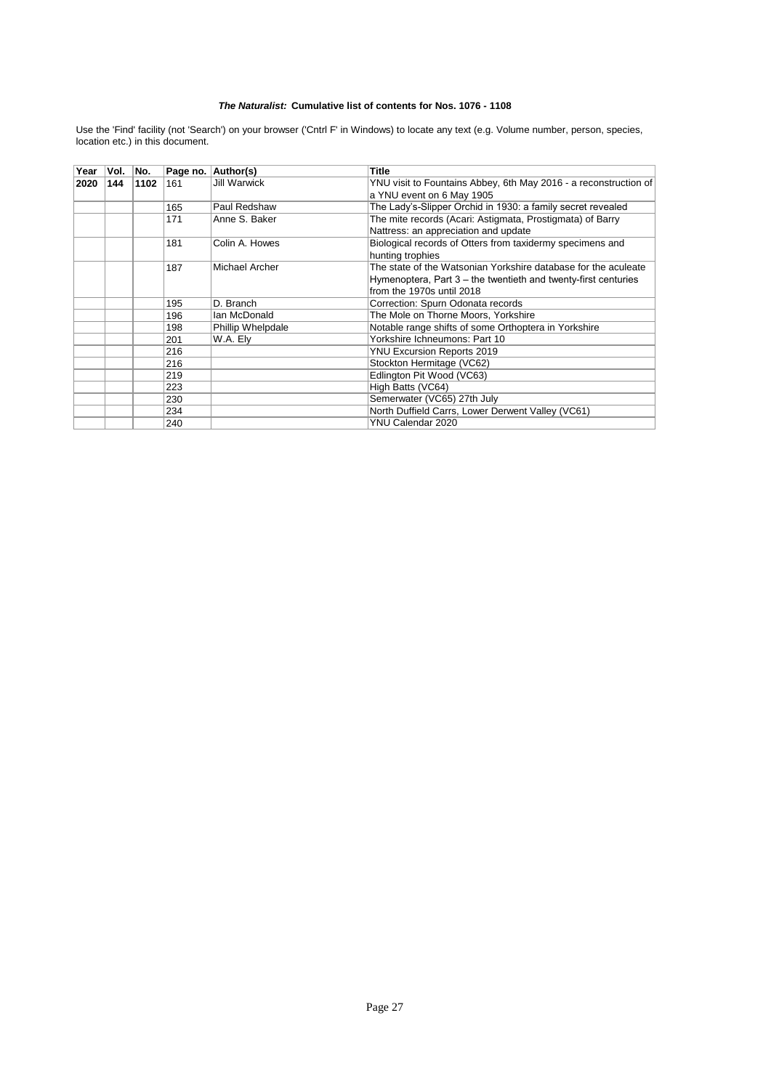| Year | Vol. . | No.  |     | Page no. Author(s)  | <b>Title</b>                                                     |
|------|--------|------|-----|---------------------|------------------------------------------------------------------|
| 2020 | 144    | 1102 | 161 | <b>Jill Warwick</b> | YNU visit to Fountains Abbey, 6th May 2016 - a reconstruction of |
|      |        |      |     |                     | a YNU event on 6 May 1905                                        |
|      |        |      | 165 | Paul Redshaw        | The Lady's-Slipper Orchid in 1930: a family secret revealed      |
|      |        |      | 171 | Anne S. Baker       | The mite records (Acari: Astigmata, Prostigmata) of Barry        |
|      |        |      |     |                     | Nattress: an appreciation and update                             |
|      |        |      | 181 | Colin A. Howes      | Biological records of Otters from taxidermy specimens and        |
|      |        |      |     |                     | hunting trophies                                                 |
|      |        |      | 187 | Michael Archer      | The state of the Watsonian Yorkshire database for the aculeate   |
|      |        |      |     |                     | Hymenoptera, Part 3 – the twentieth and twenty-first centuries   |
|      |        |      |     |                     | from the 1970s until 2018                                        |
|      |        |      | 195 | D. Branch           | Correction: Spurn Odonata records                                |
|      |        |      | 196 | Ian McDonald        | The Mole on Thorne Moors, Yorkshire                              |
|      |        |      | 198 | Phillip Whelpdale   | Notable range shifts of some Orthoptera in Yorkshire             |
|      |        |      | 201 | W.A. Ely            | Yorkshire Ichneumons: Part 10                                    |
|      |        |      | 216 |                     | YNU Excursion Reports 2019                                       |
|      |        |      | 216 |                     | Stockton Hermitage (VC62)                                        |
|      |        |      | 219 |                     | Edlington Pit Wood (VC63)                                        |
|      |        |      | 223 |                     | High Batts (VC64)                                                |
|      |        |      | 230 |                     | Semerwater (VC65) 27th July                                      |
|      |        |      | 234 |                     | North Duffield Carrs, Lower Derwent Valley (VC61)                |
|      |        |      | 240 |                     | YNU Calendar 2020                                                |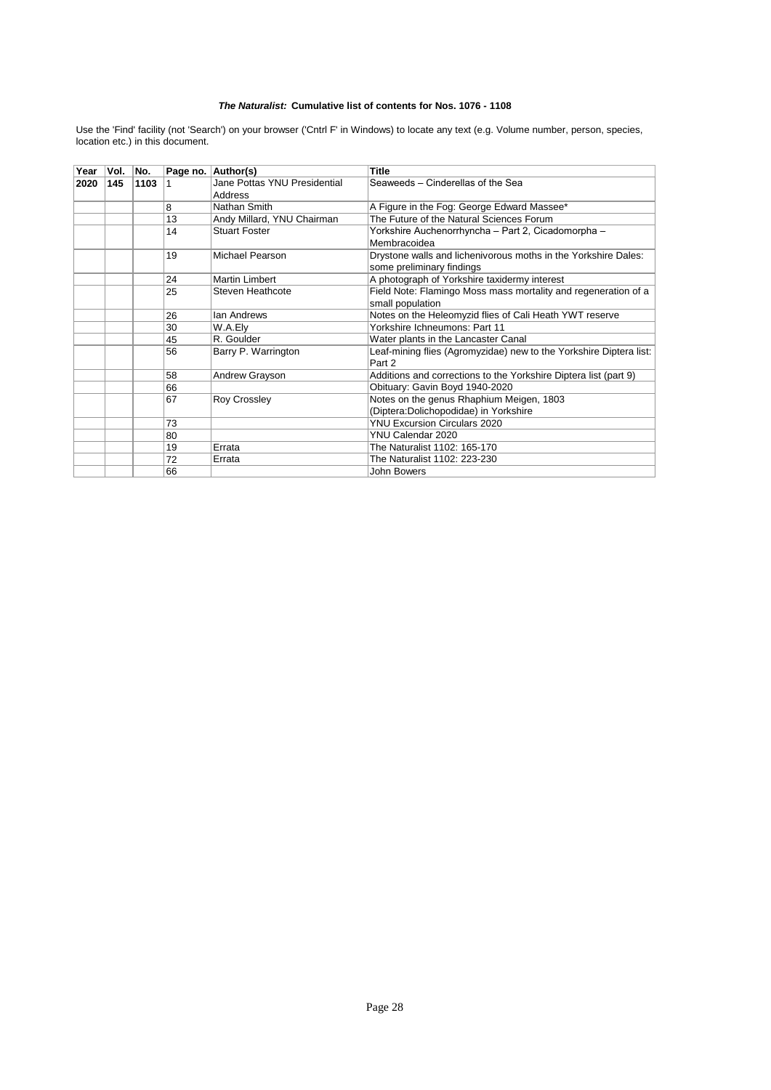| Year | Vol. | No.  |    | Page no. Author(s)           | <b>Title</b>                                                       |
|------|------|------|----|------------------------------|--------------------------------------------------------------------|
| 2020 | 145  | 1103 |    | Jane Pottas YNU Presidential | Seaweeds - Cinderellas of the Sea                                  |
|      |      |      |    | Address                      |                                                                    |
|      |      |      | 8  | Nathan Smith                 | A Figure in the Fog: George Edward Massee*                         |
|      |      |      | 13 | Andy Millard, YNU Chairman   | The Future of the Natural Sciences Forum                           |
|      |      |      | 14 | <b>Stuart Foster</b>         | Yorkshire Auchenorrhyncha - Part 2, Cicadomorpha -                 |
|      |      |      |    |                              | Membracoidea                                                       |
|      |      |      | 19 | Michael Pearson              | Drystone walls and lichenivorous moths in the Yorkshire Dales:     |
|      |      |      |    |                              | some preliminary findings                                          |
|      |      |      | 24 | <b>Martin Limbert</b>        | A photograph of Yorkshire taxidermy interest                       |
|      |      |      | 25 | Steven Heathcote             | Field Note: Flamingo Moss mass mortality and regeneration of a     |
|      |      |      |    |                              | small population                                                   |
|      |      |      | 26 | lan Andrews                  | Notes on the Heleomyzid flies of Cali Heath YWT reserve            |
|      |      |      | 30 | W.A.Ely                      | Yorkshire Ichneumons: Part 11                                      |
|      |      |      | 45 | R. Goulder                   | Water plants in the Lancaster Canal                                |
|      |      |      | 56 | Barry P. Warrington          | Leaf-mining flies (Agromyzidae) new to the Yorkshire Diptera list: |
|      |      |      |    |                              | Part 2                                                             |
|      |      |      | 58 | Andrew Grayson               | Additions and corrections to the Yorkshire Diptera list (part 9)   |
|      |      |      | 66 |                              | Obituary: Gavin Boyd 1940-2020                                     |
|      |      |      | 67 | <b>Roy Crossley</b>          | Notes on the genus Rhaphium Meigen, 1803                           |
|      |      |      |    |                              | (Diptera:Dolichopodidae) in Yorkshire                              |
|      |      |      | 73 |                              | <b>YNU Excursion Circulars 2020</b>                                |
|      |      |      | 80 |                              | YNU Calendar 2020                                                  |
|      |      |      | 19 | Errata                       | The Naturalist 1102: 165-170                                       |
|      |      |      | 72 | Errata                       | The Naturalist 1102: 223-230                                       |
|      |      |      | 66 |                              | John Bowers                                                        |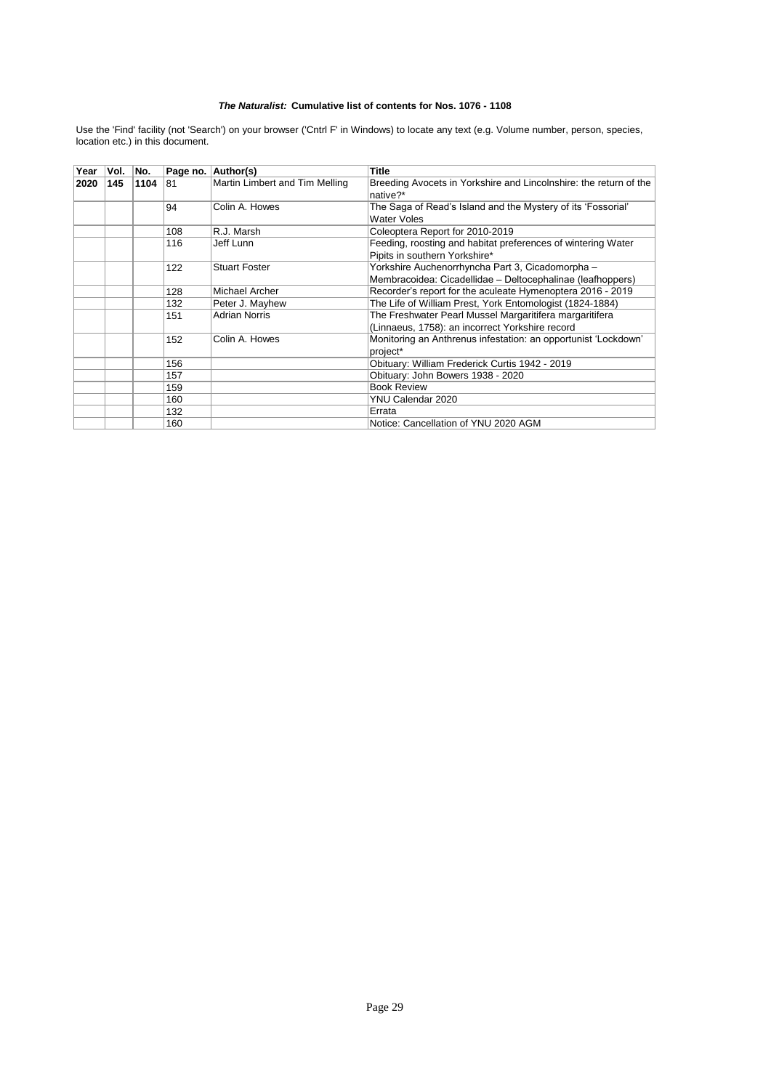| Year | Vol. | No.  |     | Page no. Author(s)             | <b>Title</b>                                                      |
|------|------|------|-----|--------------------------------|-------------------------------------------------------------------|
| 2020 | 145  | 1104 | 81  | Martin Limbert and Tim Melling | Breeding Avocets in Yorkshire and Lincolnshire: the return of the |
|      |      |      |     |                                | native?*                                                          |
|      |      |      | 94  | Colin A. Howes                 | The Saga of Read's Island and the Mystery of its 'Fossorial'      |
|      |      |      |     |                                | Water Voles                                                       |
|      |      |      | 108 | R.J. Marsh                     | Coleoptera Report for 2010-2019                                   |
|      |      |      | 116 | Jeff Lunn                      | Feeding, roosting and habitat preferences of wintering Water      |
|      |      |      |     |                                | Pipits in southern Yorkshire*                                     |
|      |      |      | 122 | <b>Stuart Foster</b>           | Yorkshire Auchenorrhyncha Part 3, Cicadomorpha -                  |
|      |      |      |     |                                | Membracoidea: Cicadellidae - Deltocephalinae (leafhoppers)        |
|      |      |      | 128 | Michael Archer                 | Recorder's report for the aculeate Hymenoptera 2016 - 2019        |
|      |      |      | 132 | Peter J. Mayhew                | The Life of William Prest, York Entomologist (1824-1884)          |
|      |      |      | 151 | <b>Adrian Norris</b>           | The Freshwater Pearl Mussel Margaritifera margaritifera           |
|      |      |      |     |                                | (Linnaeus, 1758): an incorrect Yorkshire record                   |
|      |      |      | 152 | Colin A. Howes                 | Monitoring an Anthrenus infestation: an opportunist 'Lockdown'    |
|      |      |      |     |                                | project*                                                          |
|      |      |      | 156 |                                | Obituary: William Frederick Curtis 1942 - 2019                    |
|      |      |      | 157 |                                | Obituary: John Bowers 1938 - 2020                                 |
|      |      |      | 159 |                                | <b>Book Review</b>                                                |
|      |      |      | 160 |                                | YNU Calendar 2020                                                 |
|      |      |      | 132 |                                | Errata                                                            |
|      |      |      | 160 |                                | Notice: Cancellation of YNU 2020 AGM                              |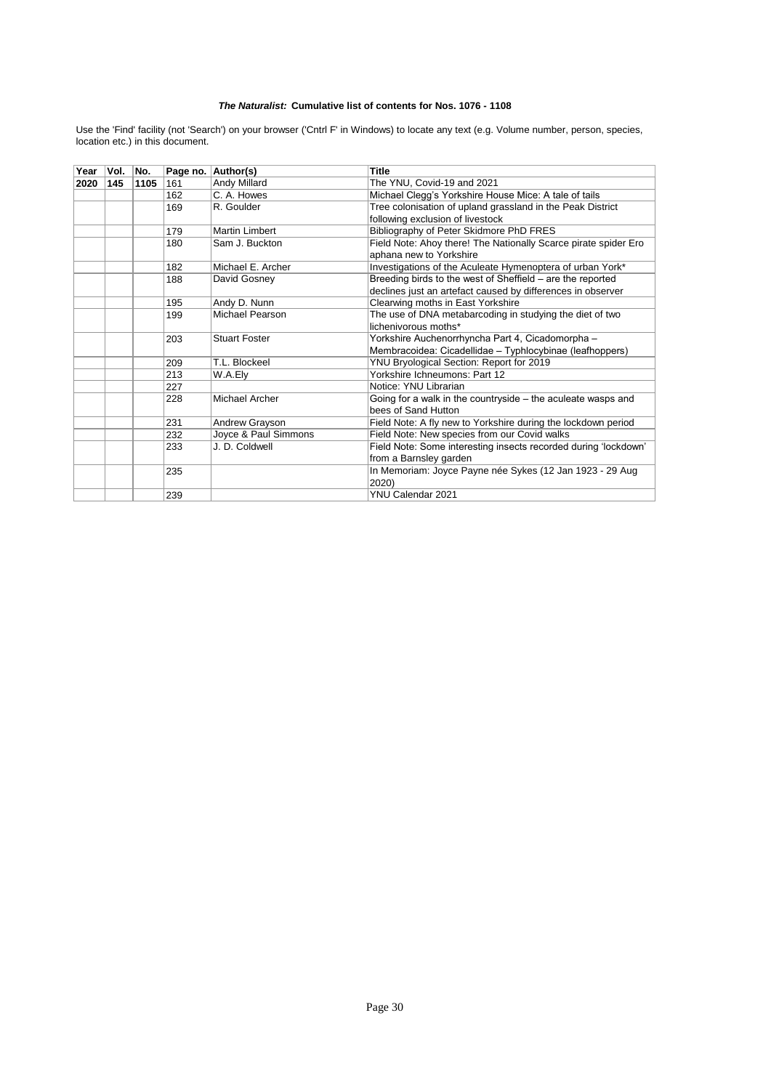| Year | Vol. | No.  | Page no. | Author(s)             | <b>Title</b>                                                    |
|------|------|------|----------|-----------------------|-----------------------------------------------------------------|
| 2020 | 145  | 1105 | 161      | Andy Millard          | The YNU, Covid-19 and 2021                                      |
|      |      |      | 162      | C. A. Howes           | Michael Clegg's Yorkshire House Mice: A tale of tails           |
|      |      |      | 169      | R. Goulder            | Tree colonisation of upland grassland in the Peak District      |
|      |      |      |          |                       | following exclusion of livestock                                |
|      |      |      | 179      | <b>Martin Limbert</b> | Bibliography of Peter Skidmore PhD FRES                         |
|      |      |      | 180      | Sam J. Buckton        | Field Note: Ahoy there! The Nationally Scarce pirate spider Ero |
|      |      |      |          |                       | aphana new to Yorkshire                                         |
|      |      |      | 182      | Michael E. Archer     | Investigations of the Aculeate Hymenoptera of urban York*       |
|      |      |      | 188      | David Gosney          | Breeding birds to the west of Sheffield - are the reported      |
|      |      |      |          |                       | declines just an artefact caused by differences in observer     |
|      |      |      | 195      | Andy D. Nunn          | Clearwing moths in East Yorkshire                               |
|      |      |      | 199      | Michael Pearson       | The use of DNA metabarcoding in studying the diet of two        |
|      |      |      |          |                       | lichenivorous moths*                                            |
|      |      |      | 203      | <b>Stuart Foster</b>  | Yorkshire Auchenorrhyncha Part 4, Cicadomorpha -                |
|      |      |      |          |                       | Membracoidea: Cicadellidae - Typhlocybinae (leafhoppers)        |
|      |      |      | 209      | T.L. Blockeel         | YNU Bryological Section: Report for 2019                        |
|      |      |      | 213      | W.A.Ely               | Yorkshire Ichneumons: Part 12                                   |
|      |      |      | 227      |                       | Notice: YNU Librarian                                           |
|      |      |      | 228      | Michael Archer        | Going for a walk in the countryside – the aculeate wasps and    |
|      |      |      |          |                       | bees of Sand Hutton                                             |
|      |      |      | 231      | Andrew Grayson        | Field Note: A fly new to Yorkshire during the lockdown period   |
|      |      |      | 232      | Joyce & Paul Simmons  | Field Note: New species from our Covid walks                    |
|      |      |      | 233      | J. D. Coldwell        | Field Note: Some interesting insects recorded during 'lockdown' |
|      |      |      |          |                       | from a Barnsley garden                                          |
|      |      |      | 235      |                       | In Memoriam: Joyce Payne née Sykes (12 Jan 1923 - 29 Aug        |
|      |      |      |          |                       | 2020)                                                           |
|      |      |      | 239      |                       | YNU Calendar 2021                                               |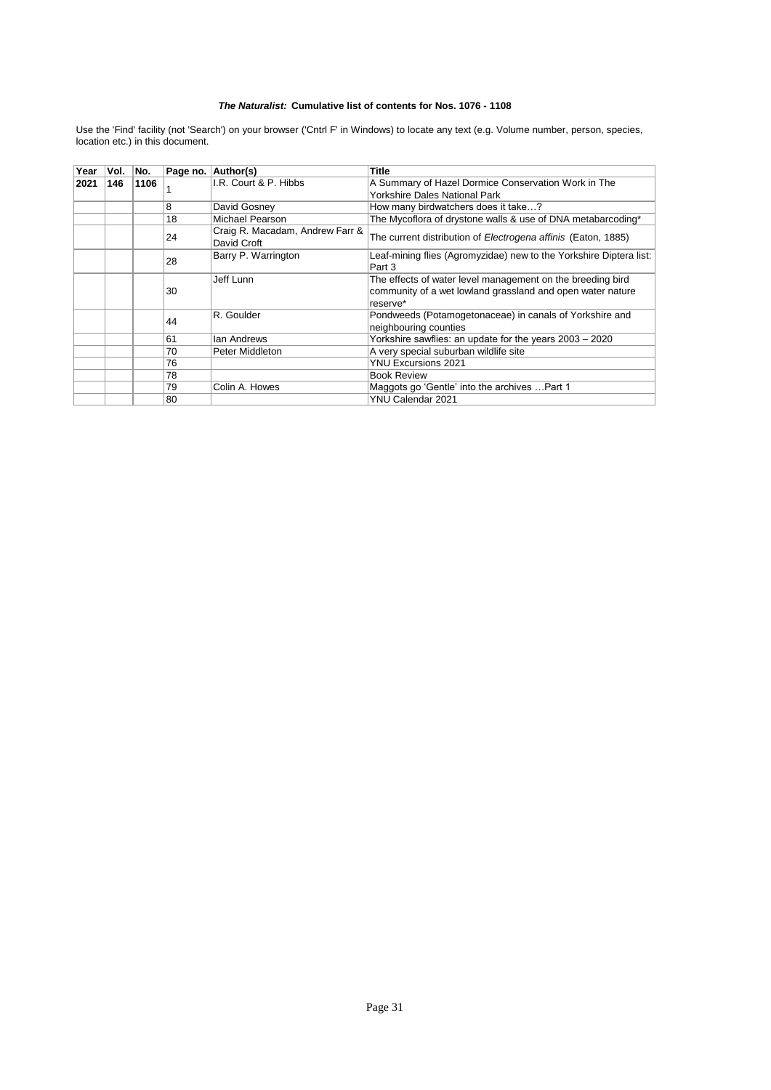| Year | Vol. | No.  |    | Page no. Author(s)                             | <b>Title</b>                                                                                                                         |
|------|------|------|----|------------------------------------------------|--------------------------------------------------------------------------------------------------------------------------------------|
| 2021 | 146  | 1106 |    | I.R. Court & P. Hibbs                          | A Summary of Hazel Dormice Conservation Work in The                                                                                  |
|      |      |      |    |                                                | Yorkshire Dales National Park                                                                                                        |
|      |      |      | 8  | David Gosney                                   | How many birdwatchers does it take?                                                                                                  |
|      |      |      | 18 | Michael Pearson                                | The Mycoflora of drystone walls & use of DNA metabarcoding*                                                                          |
|      |      |      | 24 | Craig R. Macadam, Andrew Farr &<br>David Croft | The current distribution of Electrogena affinis (Eaton, 1885)                                                                        |
|      |      |      | 28 | Barry P. Warrington                            | Leaf-mining flies (Agromyzidae) new to the Yorkshire Diptera list:<br>Part 3                                                         |
|      |      |      | 30 | Jeff Lunn                                      | The effects of water level management on the breeding bird<br>community of a wet lowland grassland and open water nature<br>reserve* |
|      |      |      | 44 | R. Goulder                                     | Pondweeds (Potamogetonaceae) in canals of Yorkshire and<br>neighbouring counties                                                     |
|      |      |      | 61 | lan Andrews                                    | Yorkshire sawflies: an update for the years 2003 - 2020                                                                              |
|      |      |      | 70 | Peter Middleton                                | A very special suburban wildlife site                                                                                                |
|      |      |      | 76 |                                                | <b>YNU Excursions 2021</b>                                                                                                           |
|      |      |      | 78 |                                                | <b>Book Review</b>                                                                                                                   |
|      |      |      | 79 | Colin A. Howes                                 | Maggots go 'Gentle' into the archives  Part 1                                                                                        |
|      |      |      | 80 |                                                | YNU Calendar 2021                                                                                                                    |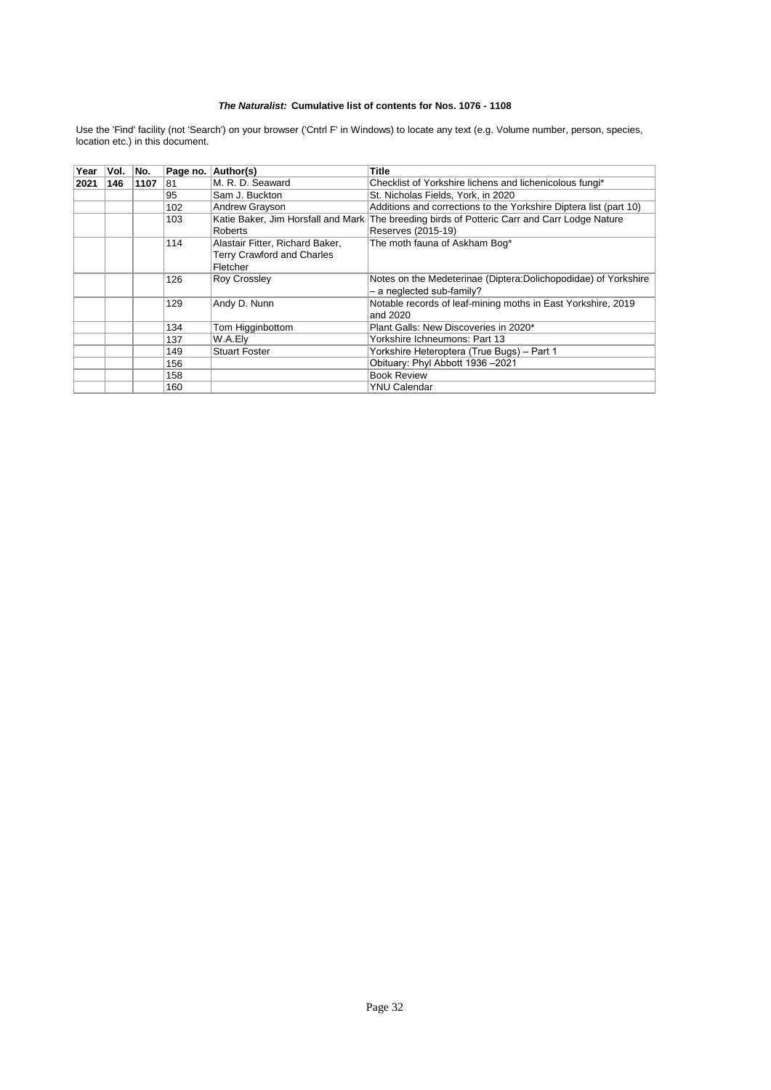| Year | Vol. | No.  | Page no. | Author(s)                       | Title                                                                                        |
|------|------|------|----------|---------------------------------|----------------------------------------------------------------------------------------------|
| 2021 | 146  | 1107 | 81       | M. R. D. Seaward                | Checklist of Yorkshire lichens and lichenicolous fungi*                                      |
|      |      |      | 95       | Sam J. Buckton                  | St. Nicholas Fields, York, in 2020                                                           |
|      |      |      | 102      | Andrew Grayson                  | Additions and corrections to the Yorkshire Diptera list (part 10)                            |
|      |      |      | 103      |                                 | Katie Baker, Jim Horsfall and Mark The breeding birds of Potteric Carr and Carr Lodge Nature |
|      |      |      |          | <b>Roberts</b>                  | Reserves (2015-19)                                                                           |
|      |      |      | 114      | Alastair Fitter, Richard Baker, | The moth fauna of Askham Bog*                                                                |
|      |      |      |          | Terry Crawford and Charles      |                                                                                              |
|      |      |      |          | Fletcher                        |                                                                                              |
|      |      |      | 126      | <b>Roy Crossley</b>             | Notes on the Medeterinae (Diptera:Dolichopodidae) of Yorkshire                               |
|      |      |      |          |                                 | - a neglected sub-family?                                                                    |
|      |      |      | 129      | Andy D. Nunn                    | Notable records of leaf-mining moths in East Yorkshire, 2019                                 |
|      |      |      |          |                                 | and 2020                                                                                     |
|      |      |      | 134      | Tom Higginbottom                | Plant Galls: New Discoveries in 2020*                                                        |
|      |      |      | 137      | W.A.Ely                         | Yorkshire Ichneumons: Part 13                                                                |
|      |      |      | 149      | <b>Stuart Foster</b>            | Yorkshire Heteroptera (True Bugs) - Part 1                                                   |
|      |      |      | 156      |                                 | Obituary: Phyl Abbott 1936-2021                                                              |
|      |      |      | 158      |                                 | <b>Book Review</b>                                                                           |
|      |      |      | 160      |                                 | YNU Calendar                                                                                 |